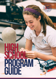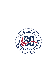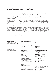# **Using Your Program Planning Guide**

Singapore American School is committed to assisting students in developing a program of study that meets their academic and college goals, offers instruction that will lead to a healthy life-style, and affords ample opportunity for participation in meaningful activities. This guide provides information about the courses typically offered along with information on how to select and complete the online registration process.

This guide also contains information about the minimum SAS graduation requirements, the credits recommended by colleges, and the wide range of academic opportunities available at our school. As students begin choosing courses for next year and beyond, keep in mind that students will perform best when a program is selected that includes courses that are personally interesting and at an appropriate level of challenge.

Current SAS students are asked to choose courses each April for both semesters of the following school year. Students new to SAS will meet with a counselor to select courses prior to enrollment. All students are responsible for taking the time to fully understand what a course will cover, the prerequisites, and whether or not there are any expectations beyond what might be considered "normal" for a course, such as additional labs, rehearsals, research, or readings. Not all courses are available to all grades.

All members of the SAS faculty are available to assist students and parents as courses are selected for the next academic year. Feel free to contact us.

#### **Administration**

*Darin Fahrney, Principal Email: dfahrney@sas.edu.sg*

*Stephen Ly, Deputy Email: sly@sas.edu.sg*

*Doug Neihart, Deputy Email: dneihart@sas.edu.sg*

# **Departmental Contacts**

English *Amy Zuber-Meehan Email: ameehan@sas.edu.sg*

Social Studies *Erik Torjesen Email: etorjesen@sas.edu.sg*

**Mathematics** *Lance Murgatroyd Email: lmurgatroyd@sas.edu.sg*

Science *John Gaskell Email: jgaskell@sas.edu.sg*

World Languages French, Spanish and Japanese *Christina Popowski Email: cpopowski@sas.edu.sg*

Chinese *Sally Lean Email: slean@sas.edu.sg*

TEC/Innovation *Dennis Steigerwald Email: dsteigerwald@sas.edu.sg* Performing Arts *Stephen Bonnette Email: sbonnette@sas.edu.sg*

Visual Arts *Barbara Harvey Email: bharvey@sas.edu.sg*

Physical/Health Education *Charles Shriner Email: cshriner@sas.edu.sg*

Educational Technology *Jay Atwood Email: jatwood@sas.edu.sg*

Learning Support *Laura Mohl Email: lmohl@sas.edu.sg*

Counseling *Dale Ford, Department Chair Email: dford@sas.edu.sg*

*Dawn Betts, Gr 9 Last Names: A-K Email: dbetts@sas.edu.sg*

*Sue Nesbitt, Gr 9 Last Names: L-Z Email: snesbitt@sas.edu.sg*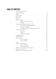# **Table of Contents**

| 22<br>Spanish, French and Chinese 32<br>Technology, Electives and Capstone (TEC) 37<br>Finance/Tech/Engineering/Robotics 37<br>Journalism and Media. 39<br>AP Capstone, Online, Independent & Catalyst 40<br>Film and Photography. 45<br>Learning Support. 57<br>Interim Semester. 57<br>Quest<br>Summer Semester 63<br>School Year Abroad. 63<br>Appendix I: Course Selection Instructions 64 |                                            |
|------------------------------------------------------------------------------------------------------------------------------------------------------------------------------------------------------------------------------------------------------------------------------------------------------------------------------------------------------------------------------------------------|--------------------------------------------|
|                                                                                                                                                                                                                                                                                                                                                                                                |                                            |
|                                                                                                                                                                                                                                                                                                                                                                                                |                                            |
|                                                                                                                                                                                                                                                                                                                                                                                                |                                            |
|                                                                                                                                                                                                                                                                                                                                                                                                |                                            |
|                                                                                                                                                                                                                                                                                                                                                                                                |                                            |
|                                                                                                                                                                                                                                                                                                                                                                                                |                                            |
|                                                                                                                                                                                                                                                                                                                                                                                                |                                            |
|                                                                                                                                                                                                                                                                                                                                                                                                |                                            |
|                                                                                                                                                                                                                                                                                                                                                                                                |                                            |
|                                                                                                                                                                                                                                                                                                                                                                                                |                                            |
|                                                                                                                                                                                                                                                                                                                                                                                                |                                            |
|                                                                                                                                                                                                                                                                                                                                                                                                |                                            |
|                                                                                                                                                                                                                                                                                                                                                                                                |                                            |
|                                                                                                                                                                                                                                                                                                                                                                                                |                                            |
|                                                                                                                                                                                                                                                                                                                                                                                                |                                            |
|                                                                                                                                                                                                                                                                                                                                                                                                |                                            |
|                                                                                                                                                                                                                                                                                                                                                                                                |                                            |
|                                                                                                                                                                                                                                                                                                                                                                                                |                                            |
|                                                                                                                                                                                                                                                                                                                                                                                                |                                            |
|                                                                                                                                                                                                                                                                                                                                                                                                |                                            |
|                                                                                                                                                                                                                                                                                                                                                                                                |                                            |
|                                                                                                                                                                                                                                                                                                                                                                                                |                                            |
|                                                                                                                                                                                                                                                                                                                                                                                                |                                            |
|                                                                                                                                                                                                                                                                                                                                                                                                |                                            |
|                                                                                                                                                                                                                                                                                                                                                                                                |                                            |
|                                                                                                                                                                                                                                                                                                                                                                                                |                                            |
|                                                                                                                                                                                                                                                                                                                                                                                                |                                            |
|                                                                                                                                                                                                                                                                                                                                                                                                | Appendix III: Four-Year Planning Chart. 66 |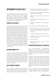# **Noteworthy in 2016-2017**

The 2016-2017 school year will bring several changes to Singapore American School. We are thrilled to offer new courses, new programs, and additional learning options to students. While details regarding many of these changes are included in other sections of this guide, the following are some of the highlights.

# **Advanced Topic Courses**

We are pleased to announce that the high school will offer its first Advanced Topic (AT) courses during the 2016-17 school year. These courses are listed under "New Courses for 2016-17" and are described in detail in this guide. The high school will be developing at least ten Advanced Topic (AT) courses by 2019-20 to provide more relevant learning options and to ensure greater focus on 21st Century competencies and to better prepare students for their future aspirations. Teams of educators are using development guidelines that focus on relevancy, skill development, deep exploration, project based learning, and real world applications as they research, develop, and implement novel SAS AT courses. Each new AT course has been created with the assistance of external university and professional experts and was vetted for quality by college admissions representatives.

# **Maximum Number of APs**

In order to provide greater opportunities for students to take more relevant course options, including the new Advanced Topic courses, SAS will cap the total number AP courses a student can take during their SAS career. Beginning with the graduating class of 2021, all students will be limited to seven yearlong equivalent AP courses during their SAS career. The AP cap was delayed until 2021 to ensure the full menu of AT courses is in place for students.

# **QUEST PROGRAM LAUNCHING**

We are thrilled to announce that the Quest Program has enrolled its first cohort of students! Beginning in 2016-17, the innovative year-long program will provide seniors with opportunities to:

- embrace unique experiences and challenges not available in existing course offerings;
- accelerate learning through interdisciplinary and real world applications;
- deep dive into a particular area of interest or passion;
- learn essential skills to prepare them for their future; and
- distinguish themselves when applying to college.

Unique features of the Quest program include:

- flexible scheduling (courses are structured around intensive, extended immersions and are not constrained by the rotating block schedule);
- off-campus experiences throughout the year;
- participation in corporate partnerships and community outreach;
- thematic courses;
- extended engagement with the senior catalyst project.

# **RECOGNITION OPPORTUNITIES AT GRADUATION**

As a school committed to standards-based grading, we believe that learning is not a competition and that every student can reach high levels of learning. Our systems for recognizing students' hard work and achievement must reflect that belief.

This year, the high school's current valedictorian/ salutatorian recognition model was carefully considered by our department chairs and our faculty. The department chairs were unanimous in recommending to the Cabinet a transition to a cum laude system based on Harvard University's recognition model. The Cabinet has approved this transition, and our cum laude system will take effect beginning with the graduating class of 2018.

Within the new system, students will be recognized in three categories based on their grade point averages. Recognition will no longer be based on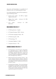class rank, and theoretically, it is possible for all students to earn cum laude graduation status.

Cum laude graduation status will be awarded using the following criteria:

- Summa Cum Laude 4.3 GPA or higher Highest Distinction
- Magna Cum Laude minimum 4.2 GPA High Distinction
- Cum Laude minimum 4.1 GPA **Distinction**

# **New courses for 2016-17**

- AT Writing Seminar English
- AT Tropical Ecology / APES Science
- AT Chinese Language: History WL
- AT Performing Arts VPA
- AT Kinesiology PE
- Conceptual Algebra II Math
- Computer Science I TEC

# **changed courses for 2016-17**

- AP Psychology and AP Human Geography are year-long courses at SAS. As they are considered semester-equivalent courses by the College Board, these two courses will receive an additional weighting of 0.25 (rather than 0.5) beginning in 2016-17.
- Behavioral Economics & Game Theory This course replaces Decision Analysis. Students who have already taken Decision Analysis are not eligible to enroll in Behavioral Economics & Game Theory.
- Emerging Technologies This course has been changed from year length to semester length. Students may take this course a second time if they wish to further develop the skills they acquired during the first semester.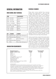# **General Information Schedule Changes**

# **High School Daily Schedule**

| <b>TIME</b>         | <b>CLASS/ACTIVITY</b> |
|---------------------|-----------------------|
| 8:00 - 8:30 AM      | Advisory/PLC          |
| $8:35 - 9:55$ AM    | Block 1               |
| $9:55 - 10:15$ AM   | <b>Break</b>          |
| $10:15 - 11:35$ AM  | Block 2               |
| 11:35 AM - 12:10 PM | Lunch                 |
| 12:10 - 1:30 PM     | Block 3               |
| 1:30 - 1:40 PM      | <b>Break</b>          |
| 1:40 - 3:00 PM      | Block 4               |

| <b>DAY</b> | <b>TEACHERS</b>       | <b>STUDENTS</b>             |
|------------|-----------------------|-----------------------------|
| Mon        | Advisory Plans        | Flex: Clubs, Tutoring, etc. |
| Tues       | <b>Advisory Meets</b> | Advisory                    |
| Wed        | <b>PLC</b>            | Flex & Assemblies           |
| Thur       | <b>Advisory Meets</b> | Advisory                    |
| Fri        | PLC                   | Flex: Clubs, Tutoring, etc. |

# **GRADUATION Requirements**

Please select courses carefully! Since returning students have opportunities in April and May to select and adjust their course requests, in August students must remain in their assigned courses for the first two days of the school year. This allows counselors to focus on assisting students who are new to SAS. Following this twoday moratorium, students who have a schedule problem are allowed to speak with a counselor and request changes. The add/drop period ends after the eighth school day. All requests must be for educationally sound reasons and approved by a counselor. Requests for changes must move a student from a larger section of a course to a smaller one. Students are also required to speak with their parents about proposed changes. At the beginning of the second semester, except for newly arriving students, no schedule changes can be made on the first day back in January. The add/drop period for second semester courses concludes on the fourth day of the semester.

Seniors must list the courses for the entire senior year when they apply to colleges. Should a change in a second semester course be made, colleges must be notified of those changes. Should it appear that a student is choosing an easier load in the final semester, it can reduce the chances of admission. Seniors are advised to select their courses carefully for the entire school year and plan to remain in them. The *Student Handbook* has a full explanation of SAS drop/add policies.

| <b>Required Courses in</b><br><b>Specific Academic Areas</b> | <b>Minimum</b><br><b>Credits</b> | Recommended<br>for College |
|--------------------------------------------------------------|----------------------------------|----------------------------|
| English                                                      | 4.0                              | 4                          |
| <b>Mathematics</b>                                           | 2.0                              | 4                          |
| Science                                                      | 2.0                              | $3 - 4$                    |
| Social Studies*                                              | 2.0                              | $3 - 4$                    |
| Language (level requirement)**                               | $***$                            | $3 - 4$                    |
| Visual/Performing Arts                                       | 1.0                              |                            |
| Physical Education                                           | 1.5                              |                            |
| <b>Health Education</b>                                      | 0.5                              |                            |
| Catalyst Project (Begins with Class of 2018)                 | 0.5                              |                            |
| Minimum Total Credits***                                     | 24.0                             |                            |

*Clarifying Details* 

\*Social Studies: US citizens (not dual citizens) are required to earn one credit in U.S. History. \*\*Language: Two years of study of the same foreign language (e.g., Chinese, French, or Spanish at the Novice, Intermediate level) or an equivalent proficiency in another language is required. \*\*\*Minimum credits: The minimum credits listed above are the absolute minimum number required to earn an SAS diploma. Completing the minimum credits would not be sufficient for admission to university. Focus should be on the "Recommended for College" column. Interim: Students must participate in an Interim Semester course each year they are at SAS. One Interim service course (0.25 credit) is required.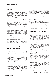# **Advisory**

The Singapore American School Advisory program was established in 2015. It seeks to ensure that every student is known, cared for and guided; make our "big school feel small;" support students with solving real-world problems; strengthen students' sense of identity and belonging; and recognize students' individual learning experiences and talents.

Each advisory is composed of 10 to 12 students in the same grade who are assigned to a faculty advisor during their first year at SAS. In most cases, students will stay with the same advisor until they leave SAS. Advisory groups meet every Tuesday and Thursday morning from 8:00 to 8:30 AM.

Advisory focuses on improving students' interpersonal and intrapersonal skills, their cultural competence and their character. These meetings are structured around the content and behaviors needed to: 1) best ensure the social/emotional health of all students; 2) improve academic success; and 3) prepare students for the inevitability of change in their lives, including the transitions to HS, college, and adulthood.

The advisory program strives to create an atmosphere of trust where students feel safe to discuss a wide range of academic and personal matters in a setting that helps to balance the rigorous academic demands of the SAS experience.

# **The SAS Catalyst Project**

Beginning with the Class of 2018, the SAS Catalyst Project (previously known as the Senior or Capstone Project) will become a graduation requirement. This represents the culmination of academic, intellectual, and social-emotional learning experiences where students are provided guidance, resources, personalized support, and flexible scheduling to explore interests and pursue passions. Teachers act as "guides on the side" for students where learning is differentiated for each student based on their interest, readiness, and learning profile. The Desired Student Learning Outcomes (DSLOs) of communication, collaboration, critical thinking, and creativity) are emphasized, developed, and assessed. As students design, plan, and conduct their projects, they will focus on producing a tangible outcome and encouraged to dive deep into relevant content and knowledge as needed. Often, students experience real world learning and problem solving in authentic contexts (e.g., interviews, work study, scientific research, internships, apprentices, etc.). By identifying, establishing a relationship with, and working alongside a mentor from a relevant field or profession, students will be taught how to interact with our rich regional and global professional network. The project scope is limited only by the student's imagination.

Although the Project is designed primarily for second semester juniors or first semester seniors, students may also wish to consider enrolling in Catalyst as second semester seniors. Students who are interested in an earlier start may be allowed to participate with permission from the Center of Innovation Coordinator, Dennis Steigerwald.

# **Rationale for Requiring The SAS Catalyst Project**

- At the beginning of the 2014-15 school year, credit requirements for students were reduced in Physical Education (0.5 credits), Social Studies (1 credit), and TEC (1 credit). This reduction created more voice/choice for students in the course selection process and provided additional room for students to meet the Catalyst requirement (0.5 credits).
- Fosters development of our Desired Student Learning Outcomes (DSLOs) including Communication, Collaboration, Critical Thinking, and Creativity.
- A focus on inquiry versus direct instruction, depth of understanding over breadth of topics covered, and production over consumption of information.
- Students are encouraged to think critically, be self-sufficient, develop professional communication and collaboration skills, i.e., skills that will help prepare them for college, modern careers, and adult life.
- Learners grapple with complex, and challenging real-world situations. Mistakes (and sometimes failures) are seen as an opportunity for growth.
- Additional resources and time for students to pursue academic pursuits such as online courses, off campus classes, coaching, etc.
- • Greater flexibility in scheduling so students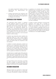can explore experiential, hands-on learning opportunities like apprenticeships and internships.

Students demonstrate their proficiency with the skills they have gained at SAS and can include this information on their applications to colleges and universities.

# **Supervised Study Program**

The Supervised Study Program is designed to offer additional support for students who are academically at-risk by providing in-school supervision and structure during "free blocks." SAS students are traditionally afforded the privilege of an unscheduled block (80 minutes every other day) during which they are allowed to make choices about their use of time; however, some students do not use their free time in a productive manner and need a more structured location in which to study.

A teacher may temporarily place students into Supervised Study as a way to assist students before they fail. Students found to be struggling in their learning may be placed in Supervised Study until specific tasks are completed or skills are mastered.

In addition to teacher placements, students are required to join Supervised Study based upon poor grades at mid-semester progress time and at the end of each semester. This placement is automatic and is based solely upon the posted grades. Placement in Supervised Study continues until new grades are finalized nine weeks later.

A student who is in eighth grade will be placed in Supervised Study if at the grades at end of eighth grade were poor. Students who are new to SAS are placed in Supervised Study upon their arrival should the grades at their previous school warrant it.

As long as there is room in the class, a counselor can add a student to Supervised Study. Full details and eligibility criteria for Supervised Study program can be found in the *Student Handbook*.

# **December Graduation**

Although students are expected to attend high school for eight semesters prior to graduation, in unusual circumstances a student may request to graduate one semester early in December. Ordinarily these circumstances involve a family leaving Singapore midway through the senior year, attendance at a university that begins the academic year in January or February, or a student who transferred to SAS from a high school that followed a different academic calendar (e.g., a student completed one semester of grade nine in the Australia system prior to beginning SAS as a new ninth grader so three semesters of grade nine were completed).

A student or parent interested in pursuing early graduation must speak with a counselor to determine if it is possible to earn all required credits by December of the senior year. If it is, a formal request to graduate early must be submitted to the Principal by May 1st of the junior year. This request should explain the rationale and be signed by both the student and the parents. Full details are in the *Student Handbook*.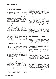# **College Preparation**

SAS students are assisted in the process of selecting and applying to colleges and universities by an experienced team of SAS counselors. The counselors are highly regarded in the college admission community, have visited hundreds of campuses, hold leadership positions in international admission organizations, have received international awards, and are invited speakers at college admission conferences.

With nearly 300 college admission officers visiting SAS each year, the counselors are well versed on what students need to do to maximize their chances of admission. A sequential plan of activities has been put in place to help students maximize their chances of admission, and to help both parents and students to navigate the selection and application process.

A college wants to admit students who were happy and successful in high school because that predicts they will be equally happy and successful when they arrive on campus. To improve the chances of college admission, high school students should focus on having a great high school experience.

# **U.S. Colleges & Universities**

A U.S. university admission officer reviews an application in this order: They look at grades first, then rigor, then test scores, and then personal characteristics, leadership and any other factors they deem important. High school grades in academic subjects predict college success better than SAT scores, recommendations, essays and everything else. The more successful a student has been in high school, the more likely the student will be admitted.

Each successive academic year is seen as more predictive of college success than the previous one. Grades from the junior and first half of the senior year are most predictive because those courses are more similar to college level courses. Colleges look at the entire transcript considering both the student's performance and course rigor.

When choosing high school courses it is important to take a challenging academic program *but more importantly, one in which high grades can be earned*. The level of academic challenge will vary from one student to another and from one

subject to another. Students shouldn't choose courses because friends did, nor should courses be chosen simply because someone says that the name will "look good" on a transcript. Grades trump rigor. Choose courses based on what is best for the student.

When taking courses next year that are more challenging than the courses this year, additional homework time will be required each day. Taking more difficult courses while not increasing homework time means grades will drop. To earn higher grades while taking harder classes students must plan on dedicating significantly more time each day. Students must be realistic about what they can and will do.

Finally, remember that U.S. university admission officers are looking for students who contribute to their school or community and do something besides just study. Students should choose a set of courses that will allow time to be involved in one or more aspects of the high school community.

# **Non-U.S. University Admission**

Each year about 20% of the SAS graduates choose to apply to colleges in locations such as Canada, the UK, Australia, Singapore, Korea, Japan, and New Zealand. Each of these countries reviews applications differently. There is information on the SAS High School Counseling website about these countries and the information they use in their admission review.

Applying for admission to UK universities is very different than the process used in the US. One major difference is that students are required to be certain of their course of study at the time of application. Unlike in the U.S. where students can apply as "undecided," there is no such thing as "undecided" in the UK. Students must be prepared to launch into a quite specific course of study, and to stay with it for three years or until the degree is completed.

Successfully completing Advanced Placement (AP) exams related to the proposed course of study is vitally important for students applying to the UK. Exam results, along with a student's background and experiences related to the plan of study, will result in an offer of admission - or not. For UK bound students, results on AP exams are so important that a final offer of admission is typically not made until after AP results are available following graduation. For students applying to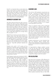the UK, it is important that an early decision be made on the course of study and relevant AP courses (with high scores) are completed. The SAS counselors are happy to provide additional information about AP course choices and how they relate to admission in the UK. Additional information about UK university admission is also on the High School Counseling Website.

# **Advanced Placement (AP)**

SAS offers Advanced Placement (AP) courses for students who wish to pursue college-level study while they are still in high school. The AP program gives students the opportunity to show what has been learned by taking an AP exam. Based on exam scores, colleges may choose to grant credit, advanced standing, or both. Students who enroll in an AP course are expected to sit for the AP exam in May. Most students do not begin taking APs until grade 11 or 12.

While AP exam results can provide credit for a U.S. college course, most high school students are more interested in being admitted to the college than getting credit for a course after enrollment. For U.S. colleges, the grades listed on transcripts are much more important than AP exam results. Results for senior year AP exams are not available until July - long after admission decisions are made.

Students who enroll in AP courses will be expected to undertake rigorous and sophisticated assignments and to work independently. Most AP courses require multiple page papers and research. It is important to be realistic about the level and number of AP courses selected. Taking too many and earning low grades hurt rather than help admission chances.

An AP Capstone option was introduced at SAS in 2014-2015 when the AP Capstone Seminar course was first offered. The AP Capstone Research course was subsequently made available in 2015-16. Information about these courses can be found in the TEC section. To earn the AP Capstone Diploma, students must complete the AP Capstone Seminar, the AP Capstone Research course the following year, plus four AP courses and exams with a minimum score of 3 on each one.

# **Academic Load**

The minimum SAS graduation requirements are just that - minimums. All students should look at the "recommended for college" rather than the "minimum credits" column. Students should speak to teachers and counselors for advice on exactly which courses to take. Remember, while it is important to take challenging courses, it is equally important to choose courses in which good grades can be earned. Earning a C, D or F is never impressive, whether it is in a regular, honors-equivalent or AP course.

There is no specific number of AP or advanced courses required by a selective college. While they are looking for academically able students who have challenged themselves academically, they also want students who have contributed to their school or community. Students should not take such a heavy load that they will not have time to be involved in the life of SAS. Colleges do expect students to challenge themselves, but if a couple of advanced courses would be too much, take standard academic courses where strong grades can be earned.

Academic performance is more important than rigor, but admission officers consider both. Taking overly challenging courses and performing poorly would certainly hurt a student's chances of admission.

For hyper-selective colleges, academic success is just the first step. Most of their applicants are academically talented. For those colleges admitting less than 20% of the applicants, excellent grades are not enough. Students also need to be interesting, involved, and have something which compels the college to admit the student.

# **GPA Calculation**

Each high school calculates a GPA differently. At SAS all courses completed at SAS are included in the GPA with advanced courses being weighted. Since each high school uses a different set of grade weighting, most colleges recalculate each student's GPA. They may drop the weighting, eliminate elective, PE and art classes, or discount freshman grades completely. Rather than focusing on a GPA, admission officers review an entire transcript to see the overall number of As, Bs and Cs, while carefully considering the course load. While students sometimes focus on their GPA,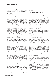a college will definitely take the time to review an entire transcript paying more attention to the grades earned in the academic core courses.

# **Co-Curriculars**

An important part of any high school experience is the co-curricular area. SAS offers a rich array of activities in such areas as music, dance, drama, sports, community service, student government, journalism, cultural clubs, academic and special interest clubs. Most clubs meet during one of the breaks or between 3:15 and 4:15, with athletic practices starting at 4:15. Some activities, including most of the journalism and music activities, are actually an extension of a class and are limited to students in those classes, though they will involve after-school participation. Other clubs, such as the Art Club, are related to a class but meet after school and membership is not restricted to class members. A complete list of activities is available from the Athletics/Activities Office and the high school website. A club fair is held each August where all of the different groups explain what they do and ask students to join them.

Co-curricular activities can play a big part in distinguishing a student from other applicants, with quality and commitment being much more important than quantity. Colleges are pleased to see students who are passionately committed to a few activities. Leadership positions demonstrate commitment and say something positive about the student. Just like it is better to take three years of French than to take one year each of French, Chinese, and Japanese, it is better to spend three years rising to a position of importance on the student council than it is to join every organization the school has to offer.

Johns Hopkins University has said: "A common misconception is that university admissions officers are looking for each student to be 'well-rounded,' whereas we are looking for a well-rounded freshman class, depth being valued over breadth. A combination of both is ideal." Involvement in high school activities tells admission officers how much a student will likely contribute to campus life.

But remember, extracurricular activities can only do so much to make up for less than stellar grades. Students overly involved in extracurricular activities may find their grades suffer as a result. No list of activities will make up for mediocre grades. Highly selective universities, expect high

school students to demonstrate leadership - and also make As.

# **College Admission Testing**

For students applying to the U.S. the answer to, "How important is the SAT or ACT?" is a complex one. There are now hundreds of colleges that no longer require the SAT or ACT because they have found the scores do not predict college success. Included on this list are New York University, Wake Forest, Middlebury, and American University. While some colleges have dropped the testing requirement, the fact remains that most highly selective colleges (those rejecting 90% or more) expect that all parts of the application - including the SAT or ACT - to be strong.

The best way to improve SAT scores is to read a lot and to take appropriately challenging academic courses. No amount of SAT or ACT preparation will help if a student stops taking math. The reading and writing in a challenging social studies course will help students with the reading and writing sections of the SAT and ACT.

While doing well in classes is the best SAT or ACT preparation, practice can also help. All tenth and eleventh graders take the PSAT, the practice test for the SAT Reasoning test. The PSAT is given during the school day in October.

Students should take either the SAT Reasoning or the ACT (or both) during the second semester of the junior year and probably again early in grade 12. Since many U.S. colleges require students to submit all SATs completed at any time in high school, students should postpone the ACT or SAT until the second half of grade 11. The test is designed to test students in the second half of grade 11 - not earlier.

About 50 U.S. colleges - generally the most selective ones - require tests in addition to the SAT called the SAT Subject Tests. These are one-hour multiple-choice tests offered in academic areas such as biology, language, literature or history. If they are required, students ordinarily take two of these tests in May or June of the junior year at about the same time the most advanced course in that subject area - typically an AP course - is completed. Taking more than two is rarely helpful. Most U.S. colleges will accept the ACT plus Writing in lieu of SAT Subject Tests. Unfortunately the testing policies vary from university to university so check with a counselor for advice.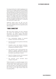For strong students who might be applying to one of the 50 or so colleges requiring the SAT Subject Tests, students must choose two courses that will provide preparation for these exams by the end of the junior year. Remember, many schools do not ask for Subject Tests or use them in the admission process. If a college doesn't ask for SAT Subject Tests it is unnecessary to take them. Those that do use them only expect students to submit two. Very few strong students have difficulty in completing the required SAT Subject Tests.

Additional details about the SAT and ACT are on the testing section of SAS High School Counseling website and will be explained by the SAS counselors.

# **"Family Connection"**

SAS high school students are given individual user names and passwords to access Family Connection, our online college information system. Some of the features of Family Connection include a student's ability to:

- View individualized displays of personal academic information and test scores.
- See historical high school grades and develop a four-year plan.
- Complete career and interest inventories, which can be especially helpful to students considering universities in the UK
- View admission data on SAS graduates who applied to colleges. Scattergrams plot the cumulative GPA, best SAT score, and whether the student was admitted or denied.
- Search for colleges and start a list of potential schools to explore more in depth.
- Get automatic e-mail reminders about colleges visiting SAS.

Family Connection is a powerful program and is used by students and counselors for all four years of high school. Ninth grade parents are given account information in the middle of the freshman year. Parents of current high school students who do not know how to login should contact the Counseling Office.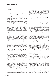# **English**

The English curriculum focuses on the areas of writing, speaking and listening, and reading and viewing. Each area will be assessed in every English course in various ways, and skills will be revisited and refined over the course of the fouryear program.

Students must take an English class every semester they attend SAS. All freshmen must take English 9 or World Studies, while sophomores must take English 10 or American Studies. Upperclassmen may opt to take any of the following courses during the junior and senior years: AP English Language and Composition and AP English Literature (both year-long), or a combination of the semester-length Junior/Senior menu courses.

While all of the following courses can be used to fulfill the four credit SAS English graduation requirement, please note that there are some that do not meet the English requirements set by some outside organizations. The National Collegiate Athletic Association (NCAA) reviews all core courses at all high schools and makes an independent assessment on whether they are considered substantially comparable to a traditional core course. If you are a talented athlete who could potentially play a sport in a US college, be aware of the handful of non-traditional SAS English courses that are not certified by the NCAA.

#### *FAQ: Should a ninth grader choose English 9 and World History or the combined double block World Studies course?*

*World Studies meets every day and challenges students to dive more deeply into the core knowledge covered, empowering students to make meaningful connections across disciplines. Students will benefit from this structure if they prefer a thematic (not chronological) approach to learning content and skills. In addition, because of the extended time with their peers and teacher, students will be able to further develop, and benefit from, a positive class environment. School transcripts will not reflect independent grades for English 9 and World History, but instead will note one grade for World Studies. Consequently, to be successful, a student will need to both thoughtfully understand the content introduced, but also master the skills of speaking persuasively, writing effectively and reading analytically. Students will*  *be expected to consistently research and share their perspectives in collaborative environments. The methods and thinking emphasized in this course will prove beneficial when students are asked to choose and develop an interdisciplinary SAS Catalyst Project during the senior year.*

# World Studies (English 9/World History)

*ID: 41005 Grade: 9 Length: Year Credit: English/Soc Studies (2) Note: Double block/credit in English and History*

This interdisciplinary course is a thematic study of the human experience using the lenses of history and literature with a focus on skills development. Using the themes of identity, power, discovery and networks, and revolutions students will explore how individuals, communities, nations and the world have responded and continue to respond to the evolving challenges of their environment. World Studies will introduce students to a variety of literary genres and world history topics to provide students with the knowledge and skills needed to better answer the question: what does it mean to be me? This interdisciplinary course will meet every day, and students will earn both an English and social studies credit.

*Reading and Viewing* – Using a genre approach, students will study short stories, novels, poetry, drama, and non-fiction - specifically scholarly journals and articles; religious texts, government documents and other primary sources; memoirs; and secondary sources. All students will read and study a memoir, *Romeo and Juliet, Lord of the Flies, and World War Z,* but will also analyze shorter literary and non-fiction extracts that relate to the themes and major eras in world history. Students will develop skills in critical observation and creative representation by viewing and discussing films and other media.

*Writing* – The course emphasizes the structure and conventions of written English and provides a variety of writing opportunities. Some assignments will stem from a student's own experiences and observations, while others will focus on responses to class texts. Students will write informative, argumentative and narrative pieces, including a research paper using primary and secondary sources. Vocabulary study is an integral part of the program.

*Speaking and Listening* – Class reading of literature selections, individual and group presentations, and class discussions in small and large groups all contribute to the enhancement of the students'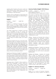speaking skills. Students will practice careful and critical listening when taking notes on lectures, attending to readings and presentations, and participating in class discussions.

Students will be challenged to demonstrate the development of their skills and understandings in a final culminating project.

# English 9

*ID: 41012 Grade: 9 Length: Year Credit: English*

English 9 is a traditional Language Arts course which focuses on writing, reading, speaking/ listening, and language skills in addition to a yearlong vocabulary study of Greek and Latin prefixes, roots, and suffixes.

The written assignments in English 9 will build from a foundation of how to manage and organize primary and secondary source material, using each in increasingly sophisticated writing tasks. Writing opportunities for students include the literary analysis essay, the comparison and contrast essay, the research paper, and creative writing.

Reading for English 9 focuses on the skill of inferring meaning from text. Students will spend time with many titles from the high school canon, including *Of Mice and Men, The Absolutely True Diary of a Part Time Indian, To Kill A Mockingbird, Oedipus Rex, Antigone, and Romeo and Juliet*, and English 9 students will practice increasinglycomplex inferential reading skills throughout the school year. Students will also read poetry, short story, non-fiction, and literary criticism.

Speaking and listening in English 9 is assessed in two ways. In one repeated setting, students learn how to participate in a high-school level discussion by supporting their thinking with textual evidence from their readings. In another, students prepare and deliver a formal presentation based on their research-based findings.

Language study in English 9 allows students to define their knowledge of syntax. During the first semester of the course, students practice and hone their skills for writing the four main syntactic patterns in English. During the second semester, students then learn to develop more sophisticated syntax by learning how, when, and why to add phrases to their independent and dependent clauses. "

# American Studies (English 10/US History)

*ID: 41014 Grade: 10 Length: Year Credit: English/US History (2) Note: Double block/credit in English and U.S. History*

This course is a thematic study of the American Experience through the lenses of history and literature, with a focus on skills development. Through the thematic units "*Making a Nation," "All Men are Created Equal?," "The American Dream," and "Conflicts and Resolutions,"* students will explore critical issues, individuals and turning points in the history of the United States of America. Students will analyze the extent to which ideologies, people, literature and events developed and shaped both American history and its contemporary issues. Students will be challenged to think critically and to make thoughtful connections as they draw on a variety of resources to understand the American Experience. This interdisciplinary course will meet every day, and students will earn both an English and a U.S. History/Social Studies credit for completing the course.

*Writing* – Students will develop their writing in a variety of genres (e.g. persuasion, narration, analysis, synthesis), responding insightfully to both literature and history and they will pursue class-related areas of interest for their research projects. Language usage and mechanics instruction will focus on the problems evident in the students' writing.

*Speaking and Listening* – Students are expected to participate fully in class discussions, work in small groups, and make at least one formal presentation per unit, with a focus on persuasive speaking skills.

*Reading and Viewing* – Students will critically read a variety of nonfiction (e.g. academic articles, primary source documents), fiction (e.g. novels, short stories), drama and poetry reflecting the American Experience; the history text will be *The Americans* (Holt McDougal). Students will continue to develop skills in visual literacy by critically viewing documentaries and films. Students will be encouraged to read widely outside of class in order make connections.

#### English 10 - American Literature

*ID: 41013 Grade: 10 Length: Year Credit: English*

English 10 is a survey of American Literature. Throughout the course, students are asked to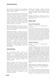think critically and reflect on two key questions: *Who or what is an American? Is the American Dream a myth or reality?*

*Writing* – In the tenth grade, the form and structure of the short essay are stressed, and the quality of writing is enhanced through the application of the writing process. Students will write in a variety of modes and styles (e.g. argumentative, narrative, informational, synthesis), with a focus on persuasive writing and research. Language usage and mechanics instruction focuses on the problems evident in the students' writing. The study of vocabulary is continued.

*Speaking and Listening* – At the tenth grade level the course emphasizes the discussion of literary selections and oral reports to emphasize the skill of persuasive speaking.

*Reading and Viewing* – Students will read a variety of fiction, nonfiction, and poetry reflecting the various literary periods in American Literature. Students will study texts chosen from *The Catcher in the Rye, The Adventures of Huckleberry Finn, The Great Gatsby, Nickel and Dimed, Outliers, The Crucible,* and *A Raisin in the Sun.* Students will also read at least one American play and participate in literature circles using texts that examine current issues and the minority experience in America. Students will continue to develop skills in critical observation and creative representation by viewing videos of films and short subjects.

#### **Junior/Senior Options**

The Junior/Senior Options continue the development of skills and intensive study of literature of a college preparatory English sequence. These semester-long courses cover diverse bodies of literature from various periods and cultures. All of the courses develop writing, reading, viewing, speaking, listening and technology skills.

*Writing* – Students will compose a variety of writing assignments, such as personal essays, literary analysis, compare and contrast essays, reviews, journal entries, and character sketches. They will be encouraged to develop an authentic voice and sense of audience. Students will revise pieces of writing, concentrating on content and organization, and edit to improve diction and mechanics. Students will participate in peer critiquing and editing.

*Speaking and Listening* – Students will speak in a variety of contexts: speeches and oral presentations, large and small group discussions, dramatic readings, and/or readers' theater activities.

*Reading and Viewing* – Students will read a significant body of literature appropriate to the focus of the course.

# **Semester I Options**

# Advanced Composition

*ID: 41041 Grade: 11-12 Length: Semester I Credit: English*

This course is designed for students who wish to pursue creative writing, and to learn first-hand how creative writers work. Using an intensive workshop format, both in class and online, students will learn specific forms of creative writing, develop a peer community of writers to critique and support each other, and create an individual portfolio of creative work. Students will submit their works to outside publications and select and perform their own works for a student-developed public reading at the end of the semester.

#### American Literature

*ID: 41008 Grade: 11-12 Length: Semester I Credit: English*

American Literature focuses on literature's presentation of changing roles, values, voices and attitudes in post-World War II America. Students will read and view selected drama, novels, nonfiction and poetry. Readings will be taken from the following: *Miller's Death of a Salesman, Cullen's Columbine, Kesey's One Flew Over the Cuckoo's Nest, Stockett's The Help, Diaz' The Brief Wondrous Life of Oscar Wao and Gruen's Water for Elephants*. Students will complete a variety of writing assignments, including blogs, analytical and narrative writing, along with individual and group discussions and presentations. They will have choice for their final reading assignment and project.

#### British Literature: The World of Shakespeare

#### *ID: 41006 Grade: 11-12 Length: Semester I Credit: English*

In this course, students will study Shakespeare's works in depth, critically reading at least one play from each of his four genres (history, comedy, tragedy and romance), along with sonnets and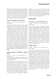other poetry. Supplementary readings will include recent articles and scholarship about Shakespeare and Elizabethan England and the development of Shakespeare's language; in addition, students will critically view films and performances (if possible) of the plays. In response to the readings, students will write in a variety of genres (e.g. persuasion, narration, critical responses) and participate in shared inquiry discussions and presentations.

#### Lit and the Imagination (Science Fiction)

*ID: 41011 Grade: 11-12 Length: Semester I Credit: English*

Students in this course will study the three stages of Science Fiction: Gothic/classic science fiction period (1818 – 1926); the modern period (1926 – 1960s); and the contemporary period (1960s – present). Through the study of the literature of these three periods students will examine the philosophical (ethical), scientific, and political ideas developed in science fiction literature. Key ideas include: the ethics of science and the responsibility of the scientist, the conflict between man and technology, man's relationship to nature, the individual against society, mankind meeting alien species, social problems highlighted in science fiction literature and film, and how science fiction literature can help with the problem of "future shock." Students will also explore the relationship of science fiction literature to the novel and film. Consequently students will analyze both written text and film. The variety of classic writers includes *H.G. Wells, Mary Shelley, Arthur Conan Doyle, Jules Verne, Nathaniel Hawthorne, Rudyard Kipling, Herman Melville, and E. M. Forster.*

# Reading, Writing and Publishing in a Digital World

*ID: 41024 Grade: 11-12 Length: Semester I Credit: English*

*Note: This course was previously named Media Literacy. If a credit was earned in that course, you cannot retake it under this new name.* 

This project-based course examines the textual relationship between literary style and content, examining how it has evolved over time. We examine how the tools of expression—the spoken word, the pen, the printing press, the radio, the television and the internet—have changed the ways we describe, explain, persuade and narrate in the world. By reading and writing many different forms, students will better understand how to interpret the written world and publish work with a greater awareness of the effects on different

audiences. This course is designed to help students think critically about and responsibly within the digital age. With the Common Core Standards as a framework, student will plan, write, revise, produce, record, film, publish and evaluate their own work, creating a body of writing to take with them in their personal portfolio.

# **Semester II Options**

#### Asian Literature: An East-West Perspective

*ID: 41019 Grade: 11-12 Length: Semester II Credit: English* 

The focus of this course is on issues and themes relating to Southeast Asia and East Asia. Students study the perspectives of Asian, American and European writers located both in Asia and in the West. Reading texts in translation, as well as those originally written in English, students consider religious, economic, socio-cultural and political representations of Southeast and East Asia. Students will have opportunities to explore a question in-depth, such as What's the difference between a Sage and a Saint? or How do ideals of "masculine" and "feminine" compare, East and West? Students will write in a variety of genres (e.g. critical responses to literature, synthesis, research), participate in shared inquiry discussions and deliver presentations.

#### Studies in Satire

*ID: 41022 Grade: 11-12 Length: Semester II Credit: English*

This course will provide students with a broad sense of satire in terms of how it has been defined and practiced. Thus, students will begin by briefly discussing several approaches to explaining the basic concepts of satire. These efforts seek to explain satire's long and successful run as a literary genre and to clarify just how satire works. After establishing a critical lens through which to view satire, students will study classical examples of satire primarily from the eighteenth through the twentieth centuries using texts such as *Being There, Brave New World, The Handmaid's Tale, The Malcontents,* and *Cat's Cradle.* All the while, each week students will also be keeping tabs on twenty-first century satire. Overall, the course seeks to enhance students' critical thinking skills by closely analyzing the criticisms inherent in works of satire.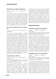#### World Literature: Myths and Monsters

*ID: 41017 Grade: 11-12 Length: Semester II Credit: English*

The monster is a figure as old as literature itself. From the myths of the Greeks to the Biblical Leviathan, monsters of various kinds have roamed the landscapes of our imaginations. This course asks, what is a monster? Why do people seem fascinated with the grotesque, the outcast, and the evil? How are monsters portrayed in literature and other art forms? We will examine novels and stories that feature classic and contemporary visions of vampires, demons, ogres and perhaps the most frightening monster of all - mankind.

### 21st Century World Classics (Prize Winning Lit)

*ID: 41009 Grade: 11-12 Length: Semester II Credit: English*

This course will engage students in reading contemporary, prize-winning literature. Students will use award criteria to judge literature in a variety of genres. They will explore why some literature may win the favor of the critics but not make a best-seller list (and vice versa). The course emphasizes critical thinking and discussion skills in a book-club /literature circle format. As these texts are relatively new to bookshelves, and very little critical literature is available about them, students will play an integral role in creating new knowledge about the texts based on class discussions and interpretations. Students will be expected to write critical reviews, literary responses, and give presentations. Books will be selected from those winning awards such as Pulitzer Prize, the National Book Award, the PEN, the ALEX, the Orange, the Booker, the Hugo and the New York Times best-seller list.

#### Communications (TED Talks)

*ID: 41031 Grade: 11-12 Length: Semester II Credit: English* 

*Note: For potential college athletes, this course does not meet the NCAA Division I core course requirement for English. See counselor for details.* 

This course will enable students to develop fundamental skills in formal and informal oral communication. Students will be exposed to lessons on how communication affects our lives, the process of communication, listening skills, interpersonal communication, building confidence, structuring speeches, choosing effective language, media studies, and speech delivery. The first quarter of the course will focus on building the skills required in public speaking by practicing the following types of speeches: Oral Interpretation of Literature, Original Oratory, Impromptu Speaking and Storytelling. Students will also learn specific strategies required for both Shared Inquiry and Socratic Seminar discussions. The second half of the course will be spent doing a Project-Based Learning unit culminating with each student preparing and giving a TED Talk in a public setting. This unit will allow students to pursue their passions by doing research, organizing and producing a multi-media presentation imitating the famous TED Talk series.

#### **Advanced Options (AP and at)**

#### AP English Language and Composition

*ID: 41028 Grade: 11-12 Length: Year Credit: English*

*Prerequisite: Semester I grade of B+ or higher in English 10/American Studies required to select this course as an 11th grader or teacher recommendation.*

The AP Language and Composition course is primarily a course in both effective writing and critical reading. This course engages students in becoming skilled readers of prose written in a variety of periods, disciplines, and rhetorical contexts and in becoming skilled writers who compose for a variety of purposes. Readings will involve four general areas: science and technology; government and politics; art and literature; and philosophy and religion. Students planning to take AP Language and Composition as a junior are cautioned: successful completion of the course requires a much greater effort and is significantly more demanding than English 10.

#### AP English Literature and Composition

*ID: 41029 Grade: 11-12 Length: Year Credit: English*

*Prerequisite: AP English Language or Semester I grade of B or higher in an 11th grade semester length English course or teacher recommendation.*

This course is designed for upperclassmen who have demonstrated a commitment to the critical study of literature and the study and practice of writing. Through speaking, listening, and reading, but chiefly through the experience of their own writing, students will become more aware of the resources of language and more adept at formal analysis of literature in terms of both form and content. The focus of this course is the in-depth analysis of literature in a variety of modes: Greek drama, Shakespearean drama, the novel, satire,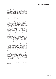the essay, and poetry. The AP curriculum is not specifically prescribed and may vary in content and emphasis from year to year. Works selected for study will represent a variety of modes and periods and are generally recognized as literary classics.

# AT English: Writing Seminar

#### *ID: 41045 Grade: 11-12 Length: Year Credit: English*

*Prerequisite: B or higher in an AP English course, or a B+ or higher in American Studies, English 10 or a Jr/Sr Options course. Enrolled students will be required to submit a portfolio of creative writing pieces prior to the fall semester in order to remain in the course. See your English teacher for details.*

This course offers an intensive, year-long, studentdriven inquiry into the creative writing and publication process. The course will operate in a small writers' community to be structured on the Iowa Writers' Workshop model used in creative writing departments across the world, but scaled for a high school student. The course is designed for students who already have a regular writing process in any creative genre and can demonstrate a passion for creative writing with a portfolio of work. The course will feature a variety of units to investigate the professional writer's process, all of which will reflect student choice to some degree. These units include: regular workshops to improve drafting and editing skills, study and analysis of works and writers (based on student voice and choice) that examines process and audience as well as key ideas and craft, structured encounters with visiting local and international authors, a writer's retreat to encourage growth of relationships and community, and production of a publication of student work (print, digital, and/or performance) based on inquiry into contemporary publishing practices. This course was collaboratively developed and endorsed by Professor Deborah Appleman from Carleton College and Professor Robin Hemley from Yale-NUS in 2016. The Advanced Topic (AT) designation indicates a course is at university level, putting it at or above the level of a traditional Advanced Placement (AP) course. This course has a grade point weighting of 0.5.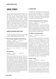# **Social Studies**

The Social Studies Department's offerings provide students with a broad exposure to history and the social sciences. Group activities, lectures, discussions, research, writing and critical analysis are incorporated into the program. Courses will employ technology to conduct research, maintain online discussion boards, create original media, and support classroom instruction. The department encourages students to develop the ability to express their ideas and to test them against those of others. Fundamental to the work of the department is study of the past and a desire to learn from the past, for the benefit of the present and the future.

#### **Required 9th Grade World History Options**

All SAS ninth grade students must be enrolled in either World History or World Studies - the combined English 9/World History course.

### World Studies (English 9/World History)

*ID: 41005 Grade: 9 Length: Year*

*Credit: English/Soc Studies (2)*

*Note: World Studies is a combined double-block English 9 and World History course. The course meets daily with the same teacher. Students can choose the double-block World Studies or separate English 9 and World History.* 

See the full course description in the English section.

#### World History

*ID: 42022 Grade: 9 Length: Year Credit: Social Studies*

World History serves two purposes. The first is to familiarize students with the major ideas and themes of world civilizations. Students will examine the development of the political, economic, social, intellectual, religious and artistic traditions that have contributed to contemporary societies. Strong emphasis will also be put on the changing relationships between regions and peoples. The second purpose is to ground students on the skills needed (reading, writing, interpreting, presenting, researching, and utilizing technology) to excel throughout high school. The course will include a variety of instructional methods, from teacher-led, to student-centered. All ninth graders must enroll in this course or World Studies.

### **U.S. History Options**

U.S. citizens (not dual citizens) are required to earn a credit in American Studies or U.S. History. Since some U.S. public universities (e.g., University of California) require U.S. History as an admission requirement, students who might be applying to a U.S. public university should complete a year of U.S. History or American Studies.

### American Studies (Eng 10/U.S. History)

*ID: 41014 Grade: 10 Length: Year Credit: English/US History (2)*

*Note: American Studies is a combined double-block English 9 and US History course. The course meets daily with the same teacher. Sophomores can either choose the double-block American Studies or choose English 10 and either US History, AP U.S. History or any other social studies course. See the full description of American Studies in the English section.*

### U.S. History and Government

*ID: 42012 Grade: 10-12 Length: Year Credit: US History*

This course enables students to make intelligent judgments on societal problems of the past, present, and future. First semester topics cover the years from the Age of Exploration to 1861 and include a six-week unit in U.S. Government. The government unit features a study of the Constitution of the United States and the legislative, executive, and judicial branches of the federal government. Developments of economic, cultural, and political patterns as well as the changing demographics of America up to the Civil War are stressed. Second semester topics cover 1861 to the present day including Reconstruction, industrial and socioeconomic events of the late 19th and early 20th Centuries, the development of Imperialism, the reform movement, the World Wars, and 20<sup>th</sup> Century U.S. Foreign Policy.

# AP U.S. History

#### *ID: 42036 Grade: 10-12 Length: Year Credit: US History*

*Prerequisite: Semester I grade of A or better in World History/World Studies is required to select this course in grade 10; a B or higher in a 10th or 11th grade regular social studies course, or a C+ or higher in an AP social studies is required to select this course in grades 11 or 12*

This introductory college-level course provides students with an understanding of major themes in U.S. history, including American identity, economic and social life, political change and continuity,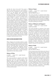and the U.S. role in the world. The course is ideal for the student who has a real interest in history and who is prepared to work consistently and to go well beyond mere memorization of the material. Students are required to be internally motivated, to have good reading and comprehension skills, to be well organized, and to be prepared to examine and think about different, often conflicting, interpretations of history. The course moves briskly, so students must be prepared to devote time daily to reading and note taking. There will be considerable inclass discussions based on assigned readings, as well as numerous interpretive essays and a major research paper. The AP exam grades students in three areas - 50% multiple choice, a Document Based Question (DBQ), and two standard essays. The multiple-choice questions require students to have specific, detailed knowledge of the subject matter. The DBQ gives students a number of historical documents on a topic, poses a question, and then asks for feedback. The two standard essays require a clear writing structure, an ability to show cause and effect, and some factual detail to support a particular point of view.

### **History, Cultures and Geography Options**

When colleges and universities indicate a certain number of history courses should be completed, they are expecting students to take history courses that are empirically based and promote critical thinking and questioning regarding historical events and perspectives. The following courses, plus the World History and U.S. History courses listed above, would meet a college's admission requirement for core history courses.

# History of China

*ID: 42003 Grade: 10-12 Length: Semester Credit: Social Studies*

This course provides an overview of the forces and events that have molded modern China. Beginning with the great philosophical and dynastic traditions and their role in Chinese life, the course will continue through the turbulence of the 19th and 20th centuries. The continuity of Chinese civilization will be emphasized, and past ideas and actions will be related to current events in China and the world.

# History of Japan

*ID: 42007 Grade: 10-12 Length: Semester Credit: Social Studies Note: Not offered in 2016-17* 

This course provides an overview of the history and geography of Japan. Emphasis will be placed on understanding Japan today. Students read and analyze historical documents as well as engage in group activities where they will discuss and debate their ideas. Skills such as note taking, essay writing and public speaking are stressed.

# History of Malaysia and Singapore

*ID: 42007 Grade: 10-12 Length: Semester Credit: Social Studies*

This course provides an overview of the events and forces that have created the modern nations of Malaysia and Singapore. Students will examine the common cultural and historical background of the two countries, as well as the impact of geography and location on their histories. The role of foreign empires and colonial powers will be examined, along with the forces at work and the courses followed in their independence movements. Emphasis will be placed on Singapore and Malaysia today. Students will examine their societies, cultures, economies, and political development through simulations, independent research, lectures, and class discussion.

# History of India

*ID: 42004 Grade: 10-12 Length: Semester Credit: Social Studies Note: Not offered in 2016-17*

This is a survey course of the history and culture of the Indian Subcontinent from the pre-Aryan Indus Valley Civilization to the 20th Century. The basic tenets of Hinduism, Buddhism and Islam will be studied, along with the strains created for nationbuilding in a society that is home to multiple religions. Students will investigate the historical role of the British Raj, the Indian Independence movement, the partition of the Subcontinent, continuing tensions in Kashmir and the civil war in Sri Lanka. Additionally, social and environmental issues will be examined, such as women's rights, poverty eradication, population sustainability, and attitudes towards climate change.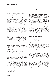### Modern Asian Perspectives

#### *ID: 42006 Grade: 10-12 Length: Semester Credit: Social Studies*

This is a project-based class that seeks independent thinkers who are not fearful of challenges. For example, students will be required to write several medium length research/editorial type papers and will need to show superb organizational skills for a semester long project. Students will be required to participate in discussions and debates revolving around the issues examined and to seek solutions to troublesome issues. Modern Asian Perspectives, at its core, is to understand how the past connects to the present through lectures, discussions, debates, group projects and independent research. The course deals with the recent history of Asia, from pre-World War II to the present. The course will examine a variety of contemporary social and ethical issues affecting Asia. Topics range from ongoing issues such as nuclear proliferation in Iran and North Korea to the withdrawal of troops in Afghanistan.

battlefield and at home. Special attention will be paid to the link between domestic issues and foreign affairs. The wartime repercussions and lasting consequences will be analyzed to show to what extent treaties and subsequent organizations have successfully kept the world at peace. Thematic units will study war and its relation to Classical Europe, early Asia, Medieval Europe, the World Wars, the Middle East, and irregular warfare between state and non-state actors.

# AP World History

#### *ID: 42039 Grade: 10-12 Length: Year Credit: Social Studies*

*Prerequisite: Semester I grade of A or better in World History/World Studies is required to select this course in grade 10; a B or higher in a 10th or 11th grade regular social studies course, or a C+ or higher in an AP social studies is required to select this course in grades 11 or 12*

The purpose of AP World History is to develop greater understanding of the evolution of global processes and contacts, advanced through factual knowledge and specific analytical skills. The course will focus on change and continuity within and between cultures, allowing students to improve their analytical and persuasive writing skills. Students will explore the cultures of Asia, Africa, Europe, the Americas, and the Pacific islands. The period covered is from the Neolithic era to the present.

# AP Human Geography

#### *ID: 42051 Grade: 10-12 Length: Year Credit: Social Studies*

*Prerequisite: Semester I grade of A or better in World History/World Studies is required to select this course in grade 10; a B or higher in a 10th or 11th grade regular social studies course, or a C+ or higher in an AP social studies is required to select this course in grades 11 or 12*

This course is designed to introduce students to key concepts surrounding human geography. Emphasis is placed on understanding past and present trends in population dynamics, political geography, geopolitics, economic development, cultural considerations, agriculture and urbanization. Throughout the course geographic models are presented to explain trends and to predict future change. For anyone interested in world geography and current events, this course is a natural as it combines theory with present case studies. Note: Beginning in 2016-17, this course will receive a 0.25 additional GPA weighting (rather than 0.5).

#### Urban Planning in Singapore

#### *ID: 42042 Grade: 11-12 Length: Semester Credit: Social Studies*

This course will build upon the AP Human Geography Cities and Urban Land Use unit. Students will study urban development in various global cities (e.g., comparing Latin-American cities with medieval European cities). Each unit will focus on a different aspect of urban design, including preservation and sustainability. Students will engage in various assignments/projects that use cities/towns of their own choice to illustrate concepts. Students will apply this knowledge to Singapore and look for themes and patterns related to various community stakeholders. Students will then focus this knowledge on a theme of personal interest to them, and which will form the basis of a 2000-word final research paper/project. Themes could relate to topics such as gentrification, green space, the negotiation between private and public interests, architecture, transportation, leisure and recreation, or government housing, and may focus on one specific location, such as the Quays. This course may involve class field trips, and will require students to visit sites in their own time, and be responsible for conducting that field research. The text for this course is *The City*, by Joel Kotkin.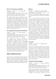### AP U.S. Government and Politics

*ID: 42035 Grade: 11-12 Length: Semester I Credit: Social Studies*

*Prerequisite: Semester I grade of B or higher in a 10th or 11th grade non-AP social studies course, or a C+ or higher in an AP social studies course is required*

This college level course is designed to give students an analytical perspective on government and politics in the United States. The course includes both the study of general concepts used to interpret U.S. politics and the analysis of specific examples. The following are the basic concepts to be covered: constitutional underpinnings of U.S. government; political beliefs and behaviors; political parties, interest groups, and the mass media; institutions of national government; and the formation of public policy.

#### AP Comparative Government and Politics

*ID: 42031 Grade: 11-12 Length: Semester II Credit: Social Studies*

*Prerequisite: Semester I grade of B or higher in a 10th or 11th grade non-AP social studies course, or a C+ or higher in an AP social studies course is required*

This college level course is intended to help students better understand the diverse constitutional, ideological, and social bases of political leadership exercised by different countries. Six countries, China, Great Britain, Iran, Mexico, Nigeria, and Russia are examined. Basic concepts to be covered are: the sources of sovereignty, public authority and political power; national and international political institutions; the relationship between citizens, state, and society; the causes and effects of political and economic change; and various areas of public policy.

# **BUSINESS & Economics Related Options**

Economics is a social studies related course that seeks to analyze and describe the production, distribution, and consumption of wealth. Business and economics courses are related to social studies but are viewed by most colleges as being different than the more traditional history courses.

### Business

*ID: 46524 Grade: 10-12 Length: Semester Credit: Elective - when selecting courses online, this course is found in the TEC section* 

*Note: This course does not meet the NCAA Division I core course requirement for History. See counselor for details.* 

This course will explore the world of modern business through project-based learning. The course will guide students through the essential activities of an enterprise, including finance and accounting, human resources, operations, and marketing. Students will become critical thinkers, analyzing, discussing, and solving realworld business case problems. Students also improve their written and oral communication skills in authentic settings when reporting their solutions to business cases. Students will polish their technology skills by authentically using computers skills as business people would: preparing presentations, calculating, preparing, and analyzing quantitative data in Excel, and creating marketing materials using image and video manipulation tools. The courses is designed for those who would like a better understanding the world of commerce or hope to one day join the business field.

# **Economics**

#### *ID: 42008 Grade: 10-12 Length: Semester Credit: Social Studies*

Economics will provide students some insight into ways by which people and nations function economically, i.e., how they make a living. Basic economic concepts including wealth, utility, capital, labor, supply and demand, profit and competition, production, distribution, exchange, consumption, and the factors affecting each area are studied. Monetary and fiscal policies are examined in the light of contemporary economics, both national and international. Students will study fiscal policy, the public debt, and ways banks create money.

# AP Economics (Team-Taught)

*ID: 42045 Grade: 11-12 Length: Two Semesters Credit: Social Studies*

*Prerequisite: Semester I grade of B or higher in a 10th or 11th grade non-AP social studies course, or a C+ or higher in an AP social studies course is required*

AP Economics is made up of two semester-length College Board AP courses - Macroeconomics and Microeconomics. Topics covered include basic concepts such as scarcity, trade-offs, and the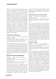functions of the economics system; the nature and function of product markets, including basic supply and demand theory, consumer choice theory, and pricing theory; the nature and function of factor markets, including theories of wage determination; measurement of economic performance using concepts such as gross domestic product, inflation, and unemployment; analysis of various schools of economic thought in relation to aggregate demand and aggregate supply; money and banking, including the tools of the central bank; and, finally, the usefulness of various government policies that can be applied to remedy the economic problems discussed throughout each semester. College Board offers both an AP Microeconomics and AP Macroeconomics exam. This course prepares students to take both exams in May. SAS offers two different versions of AP Economics, this team-taught course, where students proceed at the normal AP pace. A self-paced AP Economics (42046) is also available.

# AP Economics (Self-Paced)

*ID: 42046 Grade: 11-12 Length: Two Semesters Credit: Social Studies*

*Prerequisite: Semester I grade of B or higher in a 10th or 11th grade non-AP social studies course, or a C+ or higher in an AP social studies course is required*

This "self-paced" AP Economics covers the same content as the more traditional AP Economics course (42045), but students have the flexibility to move faster than the normal pace of the class. Students may take assessments before the normal "due date" but may not fall behind. Students who sign up for this course will benefit from the flexibility to plan the timing of assessments themselves but should be self-directed and strong independent learners.

#### Advanced Economics: Globalization

*ID: 42041 Grade: 11-12 Length: Semester Credit: Social Studies*

*Prerequisite: AP Economics or an A in Economics and teacher approval*

Note: This college level course is identified as the *equivalent of an honors course on transcripts.*

This college level course is designed to offer students an opportunity to delve deeper into the international economy than our introductory courses allow. First quarter topics include: free trade theory; barriers to free trade; foreign exchange; and international financial crises. The second quarter will address specific issues in globalization, including outsourcing, migration,

China, the EU, and sovereign wealth funds. All students will write a research paper. This course is identified as being equivalent to an honors course on transcripts.

### Behavioral Economics & Game Theory

*ID: 42023 Grade: 10-12 Length: Semester Credit: Social Studies*

*Note: This course does not meet the NCAA Division I core course requirement for History. See counselor for details.*

This course uses models from the disciplines of psychology and economics to encourage a logical, deductive approach to thinking, and to look at several different approaches to resolving conflicts. The major analytical models presented are derived from "game theory" and "behavioral economics." These models are used to tackle issues and problems across the entire spectrum of the social sciences. The course is largely problem centered, applying game theory tactics and skills to hypothetical situations and to case studies that come from history, current world events, and the immediate world around us. Individual analysis, small group discussion, and class discussion are common formats. This course was previously known as Decision/Analysis.

#### Entrepreneurship

*ID: 46525 Grade: 11-12 Length: Semester Credit: Elective - when selecting courses online, this course is found in the TEC section* 

*Note: This course does not meet the NCAA Division I core course requirement for History. See counselor for details.* 

This course utilizes the Lean LaunchPad model, which has been taught at Stanford, UC Berkeley, Columbia, CalTech and adopted by the National Science Foundation. It emphasizes experiential learning, a flipped classroom and immediate feedback as a way to engage students with real world entrepreneurship. Students learn by proposing and immediately testing hypotheses. They get out of the classroom and talk to customers, partners and competitors and encounter the chaos and uncertainty of commercializing innovations and creating new ventures. Students will do, rather than plan to do. Unlike many approaches to entrepreneurship education, Lean LaunchPad does not rely on static case studies or fixed models; it challenges students to create their own business models based on information derived from personal engagement rather than secondhand market research.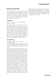#### **Additional Social Studies Options**

Social Studies elective courses can fill out a high school program with courses that allow students to experience new areas of academic interest or may help in the selection of a future career path. All of these courses strengthen general study skills, particularly analytical reading, expository writing and oral communications.

Psychology

*ID: 42010 Grade: 11-12 Length: Semester Credit: Social Studies*

This course focuses on the study of the mind and behavior, beginning with a brief history of psychology and a look at the work of its principal theorists. Because technological innovations have made the structure and work of the mind more accessible in the past decade, some time is spent addressing recent findings in articles and documentaries as well as the text. Principal units include The Brain, Learning and Conditioning, Memory and Thought, Altered States of Consciousness, Intelligence, Personality Theory, Abnormal Psychology, and Nature or Nurture.

# AP Psychology

*ID: 42050 Grade: 11-12 Length: Year Credit: Social Studies*

*Prerequisite: Semester I grade of B or higher in a 10th or 11th grade regular social studies course, or a C+ or higher in an AP social studies is required to select this course*

Psychology and AP Psychology represent choices. A student may choose one, or the other, or both. They use different texts. What further differentiate the two are their level, duration and purpose. AP Psychology entails additional readings, more writing, and AP practice tests. Several major oral reports will be required of each student. A student must be willing to pursue college level work. Students electing AP Psychology are expected to have demonstrated high academic achievement in previous course work and to be prepared for the rigor and fast pace of an AP section. Strong students are encouraged to enroll directly in AP Psychology, an advanced level course that introduces the systematic and scientific study of behavior and mental processes. History and methods, the biological basis of behavior, sensation and perception, states of consciousness, learning, thinking, motivation and emotion, development, personality, testing, intelligence, abnormal psychology, treatment, and social psychology comprise the syllabus. The eminent

psychologists are surveyed. The renowned Public Broadcasting Service programs on "The Brain" and "The Mind" offer case histories to illustrate psychological theories. Note: Beginning in 2016- 17, this course will receive a 0.25 additional GPA weighting (rather than 0.5).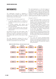# **Mathematics**

The mathematics curriculum is designed to meet the needs of students who have varying backgrounds, knowledge and skills, as well as diverse interests and career goals.

The goals of the mathematics program are:

- to provide opportunities for students to challenge themselves and to encourage them to do so,
- to provide students with options and wherever possible, keeps doors open to high level math offerings,
- to ensure that all students learn what they need for college success, and where possible, advancement.

All students must earn two math credits in high school, one of which must be at the level of Geometry or higher. It is generally recommended that students take math for all four years of high school.

The math department embraces the use of technology and to this end, the TI-Nspire CX CAS calculator is prescribed for all math courses.

The math department is in the final stages of our transition to the Common Core standards, the implementation of which will allow the math department to improve offerings and options for students of all abilities. Highlighted below are the changes to course offerings and sequences that will be implemented in 2016-17 and 2017-18:

Changes for 2016-17:

- A new Accelerated Math II course will be offered. This course is the second year of a two-year honors equivalent sequence, after which students can take AP Calculus.
- A new Conceptual Algebra II course will be introduced. The course is designed to serve the needs of those students who struggle to meet standards in the Geometry course and/ or for whom the Algebra II/Trigonometry course is not a viable option.
- A one year AP Calculus BC course will be offered. Students completing Pre-Calculus will be able to go directly from Pre-Calculus into AP Calculus BC if they meet the prerequisite.

Changes for 2017-18:

The current AP Calculus BC/Multivariable Calculus course is being redeveloped. A new full year course offering for students who have taken the one-year AP Calculus BC course is being developed.



**\* Teacher approval is required to simultaneously take two math courses**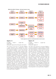

**Middle School Math 8+ Pathways - with typical sequence in grey**

**\* Teacher approval is required to simultaneously take two math courses**

#### Algebra I A

*ID: 43000 Grade: 9 Length: Year Credit: Math*

#### *Prerequisite: Approval from 8th grade math teacher*

This course is the first of a two-year Algebra I course sequence and is designed for those students not yet ready for the rigor and pacing of a traditional Algebra I course. This two-year combination of courses gives students more flexibility in their pace of learning. Concepts will be developed over more time, with an emphasis on conceptual understanding. The course will cover simplifying polynomial expressions, properties of real numbers, solving linear equations and inequalities, graphing of linear functions, and writing linear equations. The approach used will emphasize problem solving, oral and written communication, and reasoning skills. This course is aligned with Common Core Standards with a strong emphasis on technology. Following Algebra IA, students will move on to Algebra IB and can take Geometry concurrently (with teacher approval). For the purposes of math graduation credits, Algebra IA and Algebra IB are equivalent to one year/credit of Algebra I.

#### Algebra I B

*ID: 43001 Grade: 10 Length: Year Credit: Math Prerequisite: Algebra IA*

This class is the second of a two-year Algebra I curriculum designed to help students complete the requirements of a traditional Algebra I course with more flexibility in their pace of learning. Concepts will be developed over more time, with an emphasis on conceptual understanding. The course will include: solving systems of linear equations and inequalities, exponents and exponential functions, quadratic equations and functions, polynomials and factoring and statistical analysis. The approach used will emphasize problem solving, oral and written communication, and reasoning skills. This course is aligned with Common Core Standards with a strong emphasis on technology. Following the successful completion of Algebra IB, students will be prepared for Geometry. For the purposes of math graduation credits, Algebra IA and Algebra IB are equivalent to one year/credit of Algebra I.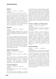# Algebra I

*ID: 43003 Grade: 9-11 Length: Year Credit: Math Prerequisite: Approval from 8th grade math teacher*

This is the standard high school Algebra I course designed for students who have mastered the basic mathematics skills and concepts of Pre-Algebra. Algebra I covers linear, quadratic and exponential functions, systems of inequalities and equations, and statistical analysis. The approach used will emphasize problem solving, oral and written communication, and reasoning skills. This course is aligned with Common Core Standards with a strong emphasis on technology.

# Geometry

*ID: 43011 Grade: 9-12 Length: Year Credit: Math*

*Prerequisite: Algebra I, Algebra IA/IB or concurrent enrollment in Algebra IB and teacher recommendation. Approval from 8th grade math teacher required for 9th graders.*

This course is designed for students who have successfully completed Algebra I. Students deepen their understanding of geometric relationships, moving towards formal mathematical arguments. The course includes transformations, similarity, logic, triangles, quadrilaterals, polygons, triangle trigonometry, circles, and area and volume of two- and three-dimensional figures. Coordinates, problem solving, and other elements of algebra are prevalent. This course is fully aligned to Common Core standards.

# Algebra II/Trigonometry

*ID: 43013 Grade: 9-12 Length: Year Credit: Math Prerequisite: Semester I grade of C or higher in Geometry* 

This course focuses on developing students' algebra skills and includes a full treatment of trigonometry. Algebra topics are expanded to include polynomial, rational, exponential, logarithmic and trigonometric functions. Applications are integrated into all major topics.

# Conceptual Algebra II

*ID: 43004 Grade: 11-12 Length: Year Credit: Math Prerequisite: Geometry and current math teacher's recommendation*

This course will allow students to meet the minimum prescribed levels of Algebra required by most colleges. The course is designed to support students for whom the Algebra II/Trigonometry course is not a viable option. The course will focus on the development of the students conceptual understanding of the Algebra II topics including Rational expressions and equations, Quadratic, Polynomial, Exponential (and Logarithmic) functions, Function theory (including Parent and Piecewise functions) and finally, Probability. The approach used will emphasize problem solving, oral and written communication, and reasoning skills.

### Functions, Statistics, and Trigonometry

*ID: 43006 Grade: 10-12 Length: Year Credit: Math*

*Prerequisite: Semester I grade of C or higher in Conceptual Algebra II or completion of Algebra II/ Trigonometry*

This course serves as a link from Algebra II/ Trigonometry to Pre-Calculus or AP Statistics. It reviews concepts learned in Algebra II/ Trigonometry and introduces most of the main concepts taught in Pre-Calculus. Functions, Statistics and Trigonometry (FST) is less rigorous than Pre-Calculus. Throughout the year students will be expected to explore data, graphs and functions. This course covers modeling, statistics, trigonometry, polynomials, logarithms and exponentials, as well as probability and counting methods.

# Accelerated Math I

*ID: 43014 Grade: 9-10 Length: Year Credit: Math*

*Prerequisite: Math 8+ with teacher approval or Semester I Algebra I grade of an A with teacher recommendation.*

This course is designed to serve highly motivated and able math students who excelled in Math 8+ or in Algebra 1 and are looking to access the highest level math offerings at SAS. It is the first year of a two year sequence that covers key content from Geometry and Algebra II/ Trigonometry. The course aims to cover a broad range of topics and will therefore be high paced and rigorous. After successfully completing both Accelerated Math I and II, students will be able to enter AP Calculus or AP Statistics. On transcripts this course is identified as being equivalent to an honors level course.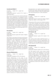# Accelerated Math II

*ID: 43015 Grade: 10-11 Length: Year Credit: Math Prerequisite: Semester I grade of B or higher in Accelerated Math I* 

This course is the second year of the Accelerated Math I and II sequence. It is designed to serve highly motivated and able math students looking to access the highest level math offerings at SAS. It covers key content from Algebra II/Trigonometry and Pre-Calculus. The course aims to cover a broad range of topics and will therefore be high paced and rigorous. After successfully completing both Accelerated Math I and II, students will be able to enter AP Calculus or AP Statistics. On transcripts this course is identified as being equivalent to an honors level course.

# Pre-Calculus

*ID: 43020 Grade: 10-12 Length: Year Credit: Math Prerequisite: Semester I grade of B or higher in Algebra II/Trig or FST*

This course is the study of functions and function theory. Elementary functions as well as logarithmic, exponential, and trigonometric functions are studied in depth. Arithmetic and geometric sequences and series will also be studied, as are probability distributions. The course is a prerequisite for Calculus. For students who take this course during the senior year, Pre-Calculus provides an excellent foundation for pursuing math studies at the university level. On transcripts this course is designated as being equivalent to an honors course.

# Discrete Mathematics

*ID: 43017 Grade: 11-12 Length: Year Credit: Math Prerequisite: Completion of FST or Pre-Calculus*

Discrete Mathematics is the study of noncontinuous math, which can cover many modern mathematical concepts. This course provides an introduction to a variety of contemporary topics that are useful in various fields such as business and social sciences, as well as the physical and computer sciences. The topics include use of graphs to model real life applications, election theory, fair division of assets, applications of matrices, recursion and difference equations, spreadsheet applications and modular arithmetic. Problem based projects will be included in the class. The course is designed for the student who wants to continue on in math and learn many real life applications, but might not intend to pursue AP level math classes. Discrete Math students find that the topics covered in class are closely related with many things they do in other disciplines.

# AP Statistics

*ID: 43028 Grade: 10-12 Length: Year Credit: Math Prerequisite: Semester I grade of A or higher in Algebra* 

*II/Trig or Acc. Math I, or a B or higher in FST*

The purpose of this course is to introduce students to the major concepts and tools for collecting, analyzing, and drawing conclusions from data. The four major themes are exploring data to find patterns, planning a study, exploring random phenomena using probability and simulations, and statistical inference, including confidence intervals and hypothesis testing.

# AP Calculus AB

*ID: 43026 Grade: 11-12 Length: Year Credit: Math Prerequisite: Semester I grade of B or higher in Pre-*

*Calculus*

This course covers topics typically found in a first year calculus course at U.S. universities. The course covers limits, continuity, differentiation and integration, and their applications. Success in this course requires a solid Pre-Calculus background.

# AP Calculus BC

*ID: 43032 Grade: 11-12 Length: Year Credit: Math*

*Prerequisite: Semester I grade of an A in Pre-Calculus*

This fast paced course covers topics usually found in the first two semesters of a first year calculus course at US universities. The course covers all of the topics in AP Calculus AB: limits, continuity, differentiation and integration, and their applications. In addition, AP Calculus BC includes: new integration techniques, polar, parametric and vector calculus and sequences and series, including Taylor series. Students will be expected to take the AP Calculus BC exam in May.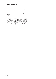# AP Calculus BC & Multivariable Calculus

*ID: 43027 Grade: 11-12 Length: Year Credit: Math Prerequisite: Semester I grade of B or higher in AP Calculus AB*

In this course, students first complete the AP Calculus BC syllabus, which covers several new integration techniques and a unit on Taylor Series. The course then covers topics typically found in a second year calculus course at U.S. universities, such as partial differentiation, multiple integration, and vector analysis. This course will be offered in its current form for the last time in 2016-17 as it is being redesigned for the 2017-18 school year.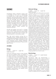# **Science**

Scientifically literate individuals possess both a knowledge of facts and an understanding of concepts from a wide range of scientific disciplines. They should also have the opportunity to develop, through experimentation, the process skills that encourage and enable continuous learning and critical thinking. The goal is to develop scientifically literate individuals who understand and appreciate the interrelationships of science, technology, and society. All courses incorporate technology based laboratories (including graphical analysis software) and interactive resources.

All SAS ninth graders must enroll in a biology course. Tenth graders must enroll in a physical science course - usually Chemistry. Nearly all SAS graduates complete three years of science with most earning four or more science credits.

New high school students arriving from an "integrated science" program typically enroll in Biology, Molecular Biology, or Chemistry if arriving in grades nine or ten. After completing two years of an integrated science program, Molecular Biology, Accelerated Chemistry, or Physics are the typical choices.

# **Life Sciences**

# **Biology**

*ID: 44005 Grade: 9-11 Length: Year Credit: Life Science*

Of all the introductory science courses, Biology can have the greatest impact on students. It has special relevance and accessibility because it is about the living world. Biology at SAS is a sequential, full year, college preparatory curriculum that integrates hands on laboratory experiences and a wide variety of technology centered activities into a dynamic program that brings key concepts to life. Five fundamental areas of Biology are investigated: Cellular biology, Genetics, Ecology, Evolution and Physiology. Factual content that elaborates these concepts is presented in ways that strive to demonstrate biological interconnection and establish actual relevance to students' lives.

# Molecular Biology

*ID: 44020 Grade: 9-12 Length: Year Credit: Life Science Prerequisite: Approval from 8th grade science teacher*

Molecular Biology is an introductory biology course for above average students, particularly for those who may be interested in pursuing a college major or career in scientific fields such as medicine, engineering, or the pure sciences. Molecular Biology is a rigorous course that is taught at a faster pace than and which requires more critical reading and more daily homework than Biology. The course is a study of biology from a molecular perspective, with emphasis upon recent advances in the study of genomes, cell physiology and biological evolution. The course includes an examination of molecular and cellular structures, genetics and heredity, human anatomy and physiology, ecology and evolution, all within the framework of science inquiry. During the course students will come to understand the chemical and cellular similarities and dissimilarities of all living organisms, the great variety and beauty of life forms and functions, and the intricate mechanism and balance in all living organisms. Students will learn to use and improve their science processing skills in order to solve problems. Laboratory and field based investigations will allow students to have first-hand experience with modern methods of analysis built around computer based probeware. Students enrolling in this course should be able to read at or above grade level and should have demonstrated above average achievement in previous science courses and above average scores on standardized tests. On students' transcripts, this course is designated as being equivalent to an honors course.

# Biotechnology

#### *ID: 44016 Grade: 11-12 Length: Semester Credit: Life Science*

Recombinant DNA and Biotechnology is designed for students with at least one year of biological science, who are prepared for an indepth study of the scientific foundations and technological applications of genomic and protein biotechnology. The course emphasizes laboratory techniques and exposes students to a variety of fields including microbiology, cell biology, genetics, bioinformatics, and bioengineering. Students need a solid understanding of DNA structure and replication, protein synthesis, and gene control mechanisms. It is an excellent course for students who are considering careers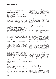in any biological science field, such as genetics, biomedical engineering, or biomedical research.

### Environmental Science

*ID: 44022 Grade: 10-12 Length: Semester Credit: Life Science Prerequisite: Open to 10th graders concurrently enrolled in Chem or Acc Chem*

Environmental Science is a study of the interrelationships between man, other living things and the environment. Students will study all of the components of our environment and their interactions and will seek to understand man's impact on the environment and to discover ways by which we can minimize these impacts. Laboratory and field based investigations into some of these impacts will allow students to have first-hand experience with modern methods of environmental quality analysis built around computer based probeware. Environmental Science is an applied science course in that it seeks to discover solutions to the most urgent problems facing human society today: the interrelated problems of population, resources, and pollution.

### Forensic Science

*ID: 44017 Grade: 11-12 Length: Semester Credit: Life Science*

Forensic Science is designed for students with an interest in the problem solving techniques used in criminal investigations. In this course students investigate a case, apply the principles of forensic science and learn specific laboratory techniques used in analyzing physical evidence. Students have the opportunity to apply a variety of skills from various academic fields including work in photography, visual arts, psychology, medicine as well as the pure sciences, chemistry, physics and biology. A case study and laboratory skills commensurate with basic forensic science procedures performed weekly as they apply to the particular case or unit being studied including experiences in analyzing fingerprints, DNA, blood, impressions, and hair and other physical evidences.

# Marine Biology

*ID: 44021 Grade: 11-12 Length: Semester Credit: Life Science Prerequisite: Open to 10th graders concurrently enrolled in Chem or Acc Chem*

This introductory course will explore the fundamentals of oceanography, the biology

**28 - Science**

and diversity of marine organisms, and the patterns and processes that guide the ecological dynamics in various marine communities. The course will give students a general background in the taxonomy of marine organisms as well as the specific adaptations these organisms have evolved to survive in the ocean. Students will also be introduced to various marine ecosystems and the organisms that inhabit them. Laboratory and field based investigations will allow students to have first-hand experience with modern methods of analysis built around computer based probeware.

# Anatomy and Physiology

*ID: 44010 Grade: 11-12 Length: Semester Credit: Life Science Prerequisite: A Chemistry course*

This course is designed for students interested in learning the important principles behind exercise and immunology. The first half of the course focuses on the form and function of musculoskeletal system. Students will be asked to challenge their bodies with varied activities such as the Wingate, reflex, muscular strength and modified VO2 max tests to further understand how their body responds to applied stresses. The second half of the course focuses on the immune system and infectious diseases. By understanding the layers of defense our bodies utilize and the extraordinary methods at which invading pathogens try to avoid our immune system, students will gain an appreciation of the complex interaction between our body and the environment. Through the two lenses of exercise physiology and infectious diseases, the contributions of many of the other body systems, such as the cardiovascular, nervous, endocrine, lymphatic, respiratory, digestive and urinary systems towards maintaining homeostasis of the human body can be examined. Although a challenging course, there is a lot of practical knowledge to be gained by studying these body systems that will help students appreciate how their body responds to applied stresses.

# Zoology

#### *ID: 44013 Grade: 11-12 Length: Semester Credit: Life Science*

Zoology is a lab-based course that emphasizes the principles of animal biology and an account of the major types and groups of animals from protozoans to vertebrates. The discussion of each animal type includes an account of its structure and bodily processes together with a summary of its habits and reproduction. Relations of animals to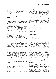their natural environment and their importance to humans also receive consideration. The broader aspects of animal biology are studied; namely, anatomy, physiology (evolutionary relationships), and ecology.

# AT Tropical Ecology/AP Environmental Science

*ID: 44035 Grade: 11-12 Length: Year*

*Credit: Life Science Prerequisite: B+ or higher in Biology or a B or better* 

*in Molecular Biology and a B or higher in Semester 1 Chemistry*

This is a college level course integrating the study of ecology and environmental science. In addition to the fundamental concepts of ecology, students will study, analyze and evaluate a wide range of environmental issues both natural and humanmade, making connections between science, technology and society, and solutions for resolving and/or preventing environmental problems. Topics will include: sustainability, the structure and function of ecosystems, population dynamics, climate, water, mineral and soil resources, waste reduction and prevention, global food resources, biodiversity, energy resources, and environmental economics and politics. Tropical ecology investigations will include both lab and fieldwork in regional Southeast Asia ecosystems including mangroves, rocky shore and sandy beach, coral reefs, primary and secondary rainforests, and human impacted systems such as, plantation agriculture, urban systems. Local environmental monitoring will include physicochemical sampling and analysis of water, soil and air quality, plant and animal population dynamics and biodiversity to determine relative ecosystem integrity. Students will be prepared to take the College Board AP Environmental Science exam. The AT Tropical Ecology portion of this course was collaboratively developed and endorsed by Dr. Michiel Van Breugel, Tropical Ecologist, Yale-NUS College in 2016. The Advanced Topic (AT) designation indicates a course is at university level, putting it at or above the level of a traditional Advanced Placement (AP) course. This course has a grade point weighting of 0.5.

# AP Biology

*ID: 44027 Grade: 11-12 Length: Year Credit: Life Science Prerequisite: Semester I grade of B or higher in Accelerated Chemistry or B+ or higher in Chemistry.* 

AP Biology is designed for students who are interested in higher studies in biological sciences, engineering, medicine, or related disciplines. This course will examine the four big biological ideas of Evolution, Energy, Information, and Interaction by looking at topics such as molecular and cellular biology, physiology of plants and animals, heredity, ecology, and evolution. While biological knowledge and concepts will be taught, students will approach the material from the perspective of science practices such as modeling, mathematical analysis, scientific questioning, experimental design and execution, data analysis and evaluation, and conceptual connections. Biological concepts will be examined through laboratory exercises that focus on inquiry and investigation. Throughout this course students will improve their capacities for problem solving and critical thinking, preparing them for further study in the biological sciences.

# **Physical Sciences**

# Physical Science

*ID: 44006 Grade: 10-12 Length: Year Credit: Physical Science Prerequisite: Completion of Biology*

This course will provide students with a fundamental knowledge of physical science while developing an understanding of their importance to society. Essential concepts of chemistry and physics are introduced in an engaging inquiry approach; without emphasizing applications involving math. The course is a broad-based course integrating, among other topics, health science, technology applications, earth science, and global issues; with the common thread being physical science. The course stresses analytical skills that are vital for any student to be successful in science; ultimately placing responsibility for learning on students themselves as they explore individually and in groups how physical science concepts apply to their everyday lives. In addition to traditional laboratory work, students will be involved in a variety of technology centered decision-making activities and projects.

# **Chemistry**

### *ID: 44014 Grade: 10-12 Length: Year Credit: Physical Science*

*Prerequisite: A Biology course or Physical Science, plus completion of Algebra I or a higher level math course*

This course presents the most current theoretical viewpoints of chemistry in correlation with proper scientific methods and techniques. Qualitative and quantitative analysis are a part of most classroom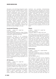discussions, and technology-integrated studies provide many hands-on opportunities to reinforce the topics covered. The first semester covers analytical fundamentals, atomic and molecular structure, nomenclature, chemical processes and composition, and quantitative chemistry while continually reinforcing scientific problem-solving methodologies. The second semester builds on the these concepts while introducing chemical bonding and structure, the kinetics of phases of matter, colligative properties of solutions, electrolytes, oxidation-reduction relationships, radioactivity, and some organic chemistry. The nature of scientific knowledge, inquiry, and its enterprise will be integrated into authentic labs and other activities throughout the year.

# Accelerated Chemistry

*ID: 44023 Grade: 10-12 Length: Year Credit: Physical Science*

*Prerequisite: Semester I grade of B+ or higher in Biology or a B or better in Molecular Biology plus completion of a Geometry or higher level math course*

Accelerated Chemistry is an introductory chemistry course designed for above-average students, in particular those who intend to pursue further science courses leading to a science-related career. It is a rigorous course in which students are expected to be able to read and comprehend technical material at or above grade level. The course presents contemporary ideas of chemistry based heavily on laboratory experiences done by both traditional methods and by the use of laptop-based probeware. Energy and the development of the quantum mechanical model of the atom serve as basic themes for the study of the states of and interaction of matter. Stoichiometry, periodicity, chemical bonding and molecular geometry, chemical thermodynamics, chemical kinetics, equilibrium, and quantum mechanics are all examined. On transcripts, this course is designated as being equivalent to an honors course.

# AP Chemistry

*ID: 44031 Grade: 11-12 Length: Year Credit: Physical Science*

*Prerequisite: Semester I grade of B or higher in Accelerated Chemistry or A or higher in Chemistry, plus completion of Algebra II/Trig or higher math course*

AP Chemistry is a rigorous, college-level course specifically intended for students who plan higher studies in science, engineering, or medicine. Topics studied include atoms and forces, kinetics, equilibrium, thermodynamics, quantum mechanics and periodicity, electrochemistry and gaseous behavior. Laboratory work involves careful measurements and applications of theory to explain and/or predict the behavior of chemical systems. Laboratory work will include both traditional--and probeware-based experiences. The subject matter in this course is presented with an emphasis on both chemical calculations and the conceptual foundation of chemical principles, so a strong mathematics background is imperative. Students will be expected to demonstrate the ability to read and comprehend sophisticated material from college level textbooks and journals and to summarize concepts. Students will be prepared for and are expected to sit for the AP exam.

# Physics

*ID: 44015 Grade: 10-12 Length: Year Credit: Physical Science Prerequisite: Algebra II or higher math course*

The Physics course is a math-oriented, problemsolving, laboratory-based approach to physics. It is designed for the student who intends to pursue further science courses. Through laboratory experiences and problem-solving activities, this course will treat each major area of physics in some detail, including mechanics, waves and light, electricity and magnetism, and some modern physics. Students will use creative problem solving and technology to gather, analyze, and present data and conclusions about the physical world around them.

# Earth Science

*ID: 44009 Grade: 10-12 Length: Semester Credit: Physical Science*

*Prerequisite: To request this course as a 10th grader, concurrent enrollment in Physical Science or a Chemistry course is required.*

*Note: Not offered in 2016-17*

Earth science is the study of many interesting and interrelated subjects within the field of science. These subjects include but are not limited to the study of earth's interior, its rocks and soils, its atmosphere, its oceans, and the Earth's relation to our celestial neighbors. The study of earth science deals with many fascinating yet practical questions regarding our dynamic planet's history and possible future. What forces produce earthquakes? Why do volcanoes erupt? What drives our weather patterns? Where do waves come from? The course begins with the creation of the earth and takes students on a tour of the process and forces that shape our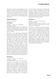planet; from volcanoes and earthquakes to wind, weather, and waves, this course offers something for everyone. The focus of the course is helping students connect the different parts of the earth - its oceans, atmosphere, rocks, soil, and living things - to their own lives and frequently involves current events and the use of technology when appropriate.

### Engineering Science

*See entry in TEC section*

#### AP Physics 1

*ID: 44032 Grade: 11-12 Length: Year Credit: Physical Science*

*Prerequisite: Semester I grade of A in Algebra II or completion of Algebra II/Trig or higher level math course. Also requires a Semester I grade of B or higher in either Physics or Accelerated Chemistry or a B+ or higher in Chemistry.*

AP Physics 1 is an introductory algebra-based physics course that gives students an exposure to Newton's laws (kinematics, dynamics, uniform circular motion, gravity, rotation, oscillations), conservation laws (momentum, energy, work), mechanical waves (traveling waves, sound), electrostatics and electric circuits. Additionally the course will include further topics such as electromagnetism to better prepare students who plan on taking AP Physics C in the following year. There will more time for handson explorations of physics content and inquiry labs. Investigations will require students to ask questions, make observations and predictions, design experiments, analyze data, and construct arguments in a collaborative setting. The course is based on six Big Ideas, which encompasses core scientific principles, theories, and processes that cut across traditional boundaries and provide a broad way of thinking about the physical world.

# AP Physics 2

*ID: 44033 Grade: 11-12 Length: Year Credit: Physical Science Prerequisite: Semester I grade of A in regular Physics* 

AP Physics 2 is equivalent to a second-semester college course in algebra-based physics. The course covers fluid mechanics, thermodynamics, electricity and magnetism, waves and optics, and modern (atomic, nuclear and quantum) physics. Similar to AP Physics 1, this course will allow students to achieve an in-depth understanding of the above additional topics using hands-on explorations of physics content and inquirybased instructional strategies. In AP Physics 2,

they will build on their existing understandings by using multiple representations of physical processes, solving multi-step problems, and designing investigations. The course is based on six Big Ideas, which encompasses core scientific principles, theories, and processes that cut across traditional boundaries and provide a broad way of thinking about the physical world.

### AP Physics C

*ID: 44030 Grade: 11-12 Length: Year Credit: Physical Science Prerequisite: Semester I grade of at least a B in AP* 

### *Physics 1 or B+ in Physics, plus completion or concurrent enrollment in AP Calculus AB*

AP Physics C is a rigorous calculus-based physics course for those students planning on higher studies in science or engineering. It is equivalent to an introductory college-level physics course for science majors. The first semester covers the following topics in Newtonian mechanics: the laws of motion, energy, momentum, oscillations and gravitation. Topics in the second semester include electricity and magnetism: electrostatics (including Gauss's Law), electric circuits, magnetostatics (including Ampere's Law) and electromagnetism (including Faraday's Law) and Maxwell's equations. Students who are successful in this course are prepared to sit for both portions of the AP Physics C examination.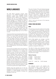# **World Languages**

The SAS World Language program offers instruction in four different languages: Chinese (Mandarin, taught using simplified Chinese characters), French, Spanish, and Japanese\*. In alignment with our K-12 program philosophy, we believe that the primary purpose of learning another language is to develop the ability to communicate effectively in real-life contexts. The goal of the World Language program, therefore, is to establish an understanding of the respective cultures and to develop language proficiency through a focus on communicative ability - in other words, a focus on what students are able to do with the language, beyond what they know about the language. Courses are taught in the target language beginning in all our Novice courses.

Interpersonal listening and speaking skills are a key component of our program and are the primary focus in our Novice and Intermediate courses, as these are the skills that are most important in the first stages of learning a language. In the Intermediate High and Advanced courses, while students continue to develop their interpersonal listening and speaking skills, increasing attention is given to the development and assessment of the interpretive skills (listening and reading), as well as presentational communication (speaking and writing).

Course names and design refer to the proficiency level being targeted by the end of each course (year-long or multi-year). It is necessary for students to reach the performance benchmarks before advancing to the next level because, as their language ability develops, their needs change, and, as such, instructional focus changes. The multi-year courses (e.g., Intermediate, Intermediate High) are designed to allow students to take the time they need to build greater confidence and consistency in their language abilities, while they experience new culturally-rich thematic units over a period of two to three years. Research and past practice have shown this to be the amount of time commonly required in order to achieve the performance targets indicated.

Students who have learned one of the four languages offered at SAS at home or as a second language in a target-language country will be assessed and may be advised to maintain the language on their own.

Two years of study of the same foreign language or the equivalent (e.g., Chinese/French/Spanish: Novice, Intermediate) proficiency is the minimum SAS graduation requirement. Since most colleges and universities include language study as an admission requirement, students are advised to attain at least an Intermediate-Mid level of proficiency. This level is generally acquired in 3-4 years of language study.

\*2016-17 will be the final year of the Japanese language program

# **Spanish, French and Chinese**

# **Novice**

This year-long course is for students who have little or no experience with the language. It provides them with the necessary skills to understand and create meaningful communication from early on in a supportive and rich environment. This course focuses on the development of listening and speaking through interpersonal communication, and the performance exit target is Novice High.

Novice High speakers can manage a number of uncomplicated communicative tasks in straightforward social situations. They can express personal meaning by relying heavily on learned phrases (memorized language) or recombinations of these, as well as respond to simple, direct questions or request for information.

The skills of writing, plus interpretive listening and reading, are also integrated into the course to the extent that they foster the development of students' communicative ability as appropriate to the performance target.

#### Novice Courses

| ID: 45040 | Spanish: Novice |
|-----------|-----------------|
| ID: 45050 | French: Novice  |
| ID: 45060 | Chinese: Novice |
|           |                 |

*Grade: 9-12 Length: Year Credit: Language*

#### **Intermediate**

This multi-year course is for students who have reached at least a Novice High level of performance in interpersonal listening and speaking. It is possible that students performing at the Novice Mid level could be considered for admission with teacher recommendation.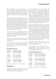With differentiation and new culturally rich thematic units each year, teachers engage and support students at whichever stage they are in the proficiency building process. This course focuses on interpersonal listening and speaking, and the performance exit target is Intermediate Mid.

Intermediate Mid speakers are able to successfully handle a variety of uncomplicated communicative tasks in straightforward social situations. They can express their own thoughts and maintain conversations by asking and answering a variety of questions, allowing them to exchange information about family, home, daily activities, interests and personal preferences, as well as physical and social needs, such as food, shopping and travel. This performance target is most commonly achieved over a period of two to three years.

The skills of writing\*, plus interpretive listening and reading, are also integrated into the course to the extent that they foster the development of students' communicative ability as appropriate to the proficiency target.

\*Intermediate Chinese courses will also include development and assessment of presentational speaking skills

All Intermediate courses require a recommendation from the student's current language teacher. Students who are new to SAS will be assessed upon their arrival.

#### Intermediate Courses

| ID: 45041   | Spanish: Intermediate         |  |  |
|-------------|-------------------------------|--|--|
| ID: 45042   | Spanish: Intermediate II      |  |  |
| ID: 45043   | Spanish: Intermediate III     |  |  |
| ID: 45051   | French: Intermediate          |  |  |
| ID: 45052   | French: Intermediate II       |  |  |
| ID: 45053   | French: Intermediate III      |  |  |
| ID: 45061   | Chinese: Intermediate         |  |  |
| ID: 45062   | Chinese: Intermediate II      |  |  |
| ID: 45063   | Chinese: Intermediate III     |  |  |
| Grade: 9-12 | Length: Year Credit: Language |  |  |

#### **Intermediate High**

This multi-year course is for students who have reached an Intermediate Mid level of performance in interpersonal listening and speaking.

With differentiation and new culturally rich thematic units each year, teachers engage and support students at whichever stage they are in the proficiency building process. While this course continues to emphasize interpersonal listening and speaking, interpretive listening and reading, and presentational writing\*, are more formally developed and assessed. For French and Spanish the performance exit target for each of these skills is Intermediate High. For Chinese, while the performance exit target is Intermediate High in listening and speaking, the exit target for reading and writing is Intermediate Mid.

Intermediate High speakers are able to successfully handle uncomplicated tasks and social situations requiring an exchange of information about their school, recreation, particular interests, and areas of competence. They also demonstrate an increasing ability to express their own ideas about some topics beyond themselves (current events/ issues, matters of public and community interest), and to resolve problems they might encounter in their daily lives. They aim to narrate and describe in three major time frames - present, past, and future - and mostly in connected paragraphs. This performance target is most commonly achieved over a period of two to three years.

\*Intermediate High Chinese courses will also include development and assessment of presentational speaking skills

All Intermediate High courses require a recommendation from the student's current language teacher. Students who are new to SAS will be assessed upon their arrival.

#### Intermediate High Courses

| ID: 45044   | Spanish: Intermediate High       |  |  |
|-------------|----------------------------------|--|--|
| ID: 45045   | Spanish: Intermediate High II    |  |  |
| ID: 45046   | Spanish: Intermediate High III   |  |  |
| D: 45054    | French: Intermediate High        |  |  |
| ID: 45055   | French: Intermediate High II     |  |  |
| ID: 45056   | French: Intermediate High III    |  |  |
| ID: 45064   | Chinese: Intermediate High       |  |  |
| ID: 45065   | Chinese: Intermediate High II    |  |  |
| ID: 45066   | Chinese: Intermediate High III   |  |  |
| Grade: 9-12 | Length: Year<br>Credit: Language |  |  |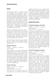#### **Advanced**

Advanced-level French or Spanish courses are for students who have reached at least at an Intermediate High performance level in interpersonal listening and speaking, interpretive listening and reading, and presentational writing. They should be able to express themselves orally and in writing in three major time frames - present, past, and future - and mostly in connected paragraphs. As well, they should be able to handle some topics beyond themselves (current events/issues, matters of public and community interest). These courses focus on all modes of communication - interpersonal, presentational and interpretive - and the performance target is at least Advanced Low for each.

Advanced Low speakers are able to handle a variety of communicative tasks. They are able to participate in most informal and some formal conversations, including some topics related to current events, and matters of public and community interest. Advanced Low writers can meet basic academic writing needs and compose texts of paragraph length and structure.

All Advanced courses require a recommendation from the student's current language teacher. Students who are new to SAS will be assessed upon their arrival.

#### Spanish: Advanced

*ID: 45047 Grade: 9-12 Length: Year Credit: Language*

Advanced Spanish is a one-year advanced-level course offered as an alternative to AP Spanish Language and Culture, or as an opportunity to further develop language skills before or after the AP course. This course will continue to focus on spoken and written expression, including presentational speaking, while developing higherlevel comprehension skills through culturally rich thematic units. It will also allow students to gain a deeper understanding and appreciation of Hispanic language and culture (products, practices and perspectives).

#### French: Advanced

*ID: 45057 Grade: 9-12 Length: Year Credit: Language Prerequisite: Teacher recommendation*

Advanced French is a one-year advanced-level course offered as an alternative to AP French Language and Culture, or as an opportunity to further develop language skills before or after the AP course. This course will continue to focus on spoken and written expression, including presentational speaking, while developing higherlevel comprehension skills through culturally rich thematic units. It will also allow students to gain a deeper understanding and appreciation of Francophone language and culture (products, practices and perspectives).

#### **Advanced options (AP and at)**

#### AP Spanish Language and Culture

*ID: 45024 Grade: 10-12 Length: Year Credit: Language Prerequisite: Teacher recommendation*

This AP course is comparable to a fourth semester college course in Spanish. The course prepares students to demonstrate their level of Spanish proficiency with a higher degree of accuracy and fluency across the three communicative modes: spoken and written interpersonal communication; audio, visual and audiovisual interpretive communication; and spoken and written presentational communication. Students will also hone their ability to comprehend and communicate in formal and informal contexts reflective of the richness of Hispanic language and cultures. Instructional materials and activities are carefully and strategically adapted from authentic sources to support the linguistic and cultural goals of the course.

#### AP French Language and Culture

*ID: 45023 Grade: 10-12 Length: Year Credit: Language Prerequisite: Teacher recommendation*

This AP course is comparable to a fourth semester college course in French. The course prepares students to demonstrate their level of French proficiency with a higher degree of accuracy and fluency across the three communicative modes: spoken and written interpersonal communication; audio, visual and audiovisual interpretive communication; and spoken and written presentational communication. Students will also hone their ability to comprehend and communicate in formal and informal contexts reflective of the richness of Francophone language and cultures. Instructional materials and activities are carefully and strategically adapted from authentic sources to support the linguistic and cultural goals of the course.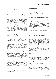# AP Chinese Language and Culture

*ID: 45025 Grade: 10-12 Length: Year Credit: Language Prerequisite: Teacher recommendation*

AP Chinese is designed to be comparable to fourth semester university courses in Mandarin Chinese. The course prepares students to demonstrate their level of Chinese proficiency across the three communicative modes (interpersonal, interpretive, and presentational) and the five goal areas (communication, cultures, connections, comparisons, and communities). Students are provided with ongoing and varied opportunities to further develop their proficiencies across the full range of language skills within a cultural frame of reference. Materials and activities are adapted from authentic sources to support the linguistic and cultural goals of the course. Both contemporary and historical Chinese culture are explored.

# AT Chinese Language: History

*ID: 45029 Grade: 11-12 Length: Year Credit: Language*

Prerequisite: Minimum Chinese language proficiency *level of Advanced-Low across all four skills or successful completion of AP Chinese or teacher recommendation.*

This inquiry and project-based course will provide students with the opportunity to gain deeper understanding of the significance of key historical periods in Chinese history, while developing their advanced Chinese language proficiency. The course is also designed for students to identify their interests in specific areas of Chinese history and culture and delve into the process of researching, analyzing, and reevaluating existing perceptions or stereotypes, to draw their own evidence-based conclusions of the significance of some historical phenomena. Students will be expected to complete a comprehensive project related to their own areas of interest each semester. The course will include an extended essay and oral presentation based on their research to demonstrate the final learning outcomes. The course was collaboratively developed and endorsed by Dr. Tao Jian Min, professor at East China Normal University in Shanghai, China in 2016. The course requires rigorous study and emphasizes in-depth research. The Advanced Topic (AT) designation indicates a course is at university level, putting it at or above the level of a traditional Advanced Placement (AP) course. Like an AP course, this course has a grade point weighting of 0.5.

# **Heritage Level Chinese**

#### Chinese Language: Near Native I

*ID: 45027 Grade: 9 Length: Year Credit: Language Prerequisite: Assessment or teacher recommendation*

This course is designed for students who have been learning Chinese as near-native learners. It provides an opportunity for students to continue developing the ability to communicate naturally, systematically and logically in the Chinese language with a strong emphasis on developing literacy skills and a deeper understanding of the subtlety of the Chinese culture revealed in the language. Authentic materials will be used for analysis and application in real life situations.

# Chinese Language: AP-Near Native II

*ID: 45028 Grade: 10-12 Length: Year Credit: Language Prerequisite: Semester I grade of B or higher in Near Native I or teacher assessment/recommendation*

This course is a continuation of the concepts learned in Near Native I and is designed for students who have been learning Chinese as nearnative learners. Students will further develop their ability to naturally communicate in the Chinese language with an emphasis on developing reading and writing skills. Authentic materials will be used for analysis and application in real life situations. Students will also gain a much deeper understanding of both contemporary and historical Chinese culture. This rigorous course is identified being equivalent to an honors level course on transcripts.

# **Japanese**

Please note that the SAS Japanese program is being phased out. The final year of Japanese instruction will be 2016-17. Provided there is sufficient enrollment, only level IV will be offered.

#### Japanese IV

*ID: 45020 Grade: 9-12 Length: Year Credit: Language*

*Prerequisite: Japanese III Semester I grade of C or higher*

Students entering Japanese IV should already be able to comprehend written and spoken Japanese and should be able to speak and write Japanese within the context of more complex sentence structures that will include relative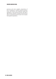#### **Singapore American School**

pronouns and more complex conjunctions of time, consequence, condition using the present, future, past tenses, and conditional tenses and expressions. They should be familiar with 250 to 300 Chinese characters. Students should also be able to comprehend and formulate more complex interrogative expressions.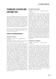# **Technology, Electives and Capstone (TEC)**

TEC courses prepare students for the real world. Students will develop critical thinking skills, often utilizing hands on, project based experiences in these courses. They will have opportunities to explore their own interests, while blending core academic course knowledge and applications with authentic, creative demands. Please check the grade level requirements for each course. Some are only open to students in certain grades or those who have met specific prerequisites.

Beginning with the SAS Class of 2018, all students must complete the SAS Catalyst Project as a requirement for graduation.

# **Finance/Tech/Engineering/Robotics**

# Computer Science I

*ID: 44518 Grade: 9-12 Length: Semester Credit: Elective*

*Prerequisite: Completion of Algebra 1. Ninth graders need approval of their Math 8+ math teacher.*

This course provides an introduction to coding and computer science principles. Students will use Java and computational thinking strategies to design, write, and test programs. Java supports object-oriented programming (OOP), common to all high-level programming languages and is the language of instruction for AP Computer Science A. This hands on course will give students the opportunity to appreciate and understand the depth at which businesses, engineering, and our daily interactions are dependent on computer science. Students learn by carefully designing a solution (algorithm) to problems, programming, and testing/debugging. Examples of programming applications to be reviewed include financial, probability, simulations of payrolls, simulations of trip planning, games, and many math problems. This course is designed as an exciting and unintimidating jumping off point for those who want to understand what coding is and how it relates to the technological world in which we live. No prior knowledge of Java or programming is required. Successful completion of the course will fulfill the prerequisite for AP Computer Science.

# Emerging Technologies

*ID: 44501 Grade: 9-11 Length: Sem or Year Credit: Elective*

This semester long survey course gives primarily underclassmen a view into design, digital fabrication, coding and graphics at an entry level. Students explore a wide range of fundamental hands-on skills including digital sketching, fabrication using the laser cutter and 3D printer, basic app development and the interconnection of computing devices. The course is deliberately broad, spanning many of the design and technology courses currently taught at SAS, and for this reason is a good entry point into more specialized courses offered at the junior and senior level. This course is a recommended springboard for younger, self-motivated students who have an interest in learning through discovery and working in teams while solving reality-based problems through design thinking. Students build on this course to later study 2D and 3D Graphics, Robotics and Game Development. Students may take the course a second time if they wish to expand the knowledge, skills, and projects that they began developing during their first semester experience.

# Introduction to Robotics

#### *ID: 46520 Grade: 9-12 Length: Semester Credit: Elective*

In this course students will learn new skills and apply critical thinking to solving concrete problems. Important learning goals of the course are innovation, perseverance, teamwork and communication. The course is divided into three main segments: 1) Code Academy is used to walk students with no experience through basic coding laws and language, using the Python language. 2) Arduinos and additional introductory electronics kits allow students to understand the basics of hardware/software interfacing. Arduinos and their close relatives are at the heart of the hand phone, microwave oven, automobile and airplanes. Using Arduinos leads to a basic understanding of the interaction between hardware and software. 3) Tetrix robots are approximately one cubic foot in size and are used in two in-class competitions - Bomb Squad and Ken and Barbie Firefighter rescue. Students design, build and drive robots to perform these real-world tasks. A technical poster, technical paper and interviews with outside engineers are required as well.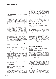# Robotics Science

*ID: 46522 Grade: 9-12 Length: Sem or Year Credit: Elective*

*Prerequisite: Intro to Robotics, Emerging Technologies (or concurrent request) or an MS/HS TEC teacher recommendation*

This collaboratively taught course teaches and applies learning in the areas of mechanics, electronics, CAD, robotics design, writing, art and marketing. Students meet, network and compete with local and international high schools and universities, at competitions including VEX robotics in Taipei, FRC robotics in Sydney, and MATE robotics in Hong Kong. These three competitions are "the gold standard" of STEM, and membership on a robotics team provides excellent preparation for students headed to careers in engineering, marketing or science. Successful students are those who excel at teamwork, innovation and perseverance. Students can take this course for one semester or the entire year and it may be repeated for credit. Those who have previously taken the course are expected to assume leadership roles and mentor new students. Community service may include mentoring SAS robotics teams in the lower schools. Travel to out-of-country competition is optional, and is the financial responsibility of the student.

# Personal Finance: You and Your Money

*ID: 46531 Grade: 10-12 Length: Semester Credit: Elective*

Few high school and college graduates are financially literate when they first enter the workforce. This course gives students an advantage in the real world by developing their financial literacy. Students will learn that high salaries don't guarantee future wealth unless earnings are properly managed. Students will learn to manage their money through responsible spending and investing habits. In this course students will track their own daily spending from the first day of the class, blog about their learning, and explore the merits of careful consumption and effective investing through a series of projectbased discoveries.

# Graphic Design

*ID: 44527 Grade: 10-12 Length: Semester Credit: Elective Prerequisite: Emerging Technologies.*

Graphic design is a part of daily life. From humble things like gum wrappers to huge things like billboards to the T-shirt people wear, graphic design is used to convey a message from a client to an audience. In this course students will learn how to use graphic design to inform, persuade and attract attention by creating and organizing the elements of typography, images, and the so called "white space" around them. Students will complete a variety of authentic projects that includes but is not limited to the design of posters and brochures. They will gain a solid foundation in the use of Adobe Illustrator, Photoshop and InDesign. This course is a complement to the Newspaper and Yearbook courses.

# 3D Graphics and Animation

*ID: 44525 Grade: 10-12 Length: Semester Credit: Elective Prerequisite: Emerging Technologies* 

This course is designed for students with an interest in computer-generated imagery (CGI). As a foundation course, this course must be completed before advancing to other CGI courses. Students will learn the basic concepts behind animation and 3D development using an industrial standard 3D application such as Maya. The course will cover the basic methods of creating objects and characters in three-dimensional space. Students will also learn shading, texturing, rendering, and the use of dynamics to make creations appear realistic. A copy of Maya Personal Learning Edition will be provided to students so they can practice skills outside of class.

# Digital Game Development

*ID: 44517 Grade: 10-12 Length: Semester Credit: Elective*

*Prerequisite: Emerging Technologies*

Games have been around for a very long time (consider the game Senet played by the ancient Egyptians). Games were used as ways to develop physical skills (consider throwing objects at targets) or training to develop military strategies (chess?) or to simply kill time while waiting for the crops to grow. Of course, creating games, and especially video games, requires more than just an idea of something that would be fun. Designers have to understand the mechanics of games, test the balance of the rules to ensure that all players have an equal opportunity to win, communicate how the game is played, and create the environment that will be used to play the game - whether a board game with dice or a computer. This course will cover the basic game development process, from design process through to playable digital and non-digital games. This will include study of game design mechanics and principles of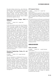the game design process (e.g., play balancing, testing), basic computer programming concepts, and concepts and production processes of game related art, including background design, character design, and user interface design. Students will gain a very good sense of the game development process and the various creative and technical aspects involved.

# Engineering Science: Design, Build, & Transform

*ID: 44012 Grade: 10-12 Length: Year Credit: Elective*

In this class students assume the role of designermakers and learn to apply the design process to an increasingly difficult series of challenges. Collaboratively taught, this class will interest students wanting the opportunity to learn by tackling real problems within fields of study such as sustainable housing, transportation, community infrastructure and energy. Students approach learning through creative problem solving and activities that retain a sense of playful exploration. Semester one includes a deep dive into the design process; prototyping and computer aided design (Sketchup) as well as exploratory work with tools such as Lego, Rube Goldbergs, folding techniques and 3D printing. Activities will strengthen basic skills in fabrication, collaboration, project management and underlying scientific concepts. In the second semester student teams will be given guidance and opportunities to apply their skills to an authentic challenge and will work collaboratively to realize a solution of sufficient scale and complexity.

# Structural Engineering: Fusing Art and Architecture

*ID: 46552 Grade: 11-12 Length: Semester Credit: Elective*

Are you interested in Architecture? Are you an aspiring furniture designer? In this semesterlong class, students will become designers and fabricators to produce unique, inventive solutions to design challenges. Assisted by instructors and community experts, students will be challenged to use all the skills of the design cycle, from identifying specific needs to prototyping in order to complete their project. Mini lessons throughout will strengthen skills in fabrication (wood and metal work), collaboration and project management.

# AP Computer Science

*ID: 44521 Grade: 10-12 Length: Year Credit: Elective*

*Prerequisite: Semester I grade of B or higher in Algebra II/Trig or a higher level math course. In exceptional cases, concurrent enrollment in Algebra II/Trig or Accelerated Math is possible with AP Computer Science teacher permission.* 

AP Computer Science is a full-year course designed to teach the fundamentals of programming with the Java programming language. It is designed as an accelerated first course in computer science or as a course for people who will major in other disciplines requiring significant involvement with computing. There is no prerequisite of knowledge or skill in programming although logic, math, and linguistic skills along with a strong core GPA are good indicators of success. AP Computer Science emphasizes programming methodology with a concentration on problem solving, algorithm development, and object orient programming. A large part of the course is built around the design, creation, and testing of computer programs or parts of programs that correctly solve a given problem. This yearlong course is identical to a first semester programming course taught at most universities; therefore, students are expected to commit to a daily schedule of programming and studying activities.

# **Journalism and Media**

# Video Journalism

*ID: 46403 Grade: 9-12 Length: Semester Credit: Elective*

The emphasis of this course is the craft of electronic newsgathering in an age that sees a shift in viewership from traditional, broadcast television news to websites that are now a principal source of information for most. Students will produce content for the high school's Morning Show, but also for the high school's online newspaper, *The Eye*. Practical exercises and projects will demonstrate the students' mastery of the techniques and skills required for the production of news and public affairs programs. Students will study and practice the interview, research and writing skills common to all journalists, and will add to those skills the production skills required in this craft: sound and video recording, editing and studio production. Students will be required to complete some work outside of regularly scheduled class meetings.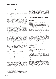#### Journalism: Newspaper

*ID: 46400 Grade: 10-12 Length: Year Credit: Elective*

This is a project-based course offering exposure to all of the practices, skills and tools used in contemporary print and online journalism. Students will learn how to interview, report, write and edit as well as learning about the operation of a contemporary online newspaper: ethical practices, organization, editorial policy, production and design. Output may be in the form of written stories, video stories (news packages) or even documentaries. All will learn the multiple skills of the contemporary journalist. The traditional print reporter might have to learn to introduce their written post with a short standup video, a short interview with a principal source, or a voice-over with taped images of the event. The broadcast reporter will learn how to write three-paragraph introductions to news packages or video montage and to add written content that explores details that the news package cannot with its time limitations. Students will participate in the daily, live production of the high school's Morning Show, whether writing copy, producing promotional videos, working on the production crew or hosting. There will be an attempt to schedule free periods consecutive to this class and students will use a combination of class time and free periods for mandatory staff meetings, small 'tools and skills' sessions, and one-on-one sessions with the adviser. Students must be able to work independently on stories and projects. The course may be repeated for credit.

#### Journalism: Yearbook

*ID: 46401 Grade: 9-12 Length: Year Credit: Elective*

*Note: Limited enrollment. Priority will go to students who have completed a graphic design course or have equivalent knowledge.* 

Enjoy research, writing, photography and/or layout design? Want to apply academic skills to realworld assignments? Ever dreamed of seeing your work in print? Then join the class that creates the Islander, the official photo journalistic publication covering a year in the life of SAS. This course is a dynamic mixture of hands-on instruction/ production, lively discussion, computer and camera work, individual and group projects and adrenaline-pumping deadlines. In addition to learning yearbook publishing skills, students will also develop a sense of time management, workplace ethics and leadership finesse. Some after school and weekend hours are required to

cover school events and meet deadlines. Because this course has limited enrollment and requires a certain number of students in each of the four grades, some students requesting the course may not be able to take it. This course may be repeated for credit.

# **AP Capstone, Online, Independent & Catalyst**

# AP Seminar

*ID: 48511 Grade: 10-11 Length: Year Credit: Elective*

*Prerequisite: For rising sophomores a Semester I grade of A in both English 9 and World History or World Studies is required. For rising juniors, a Semester I grade of B+ or higher in English 10 or American Studies*

This foundational skills based course provides opportunities to think critically and creatively, research, explore, pose solutions, develop arguments, collaborate, and communicate using various media. Students explore current real world issues through a cross curricular interdisciplinary lens, consider multiple points of view to develop deep understanding of complex issues, and connect these issues to their own lives. Topics may include, yet are not limited to, beauty, public opinion, sustainability, liberty, myth, and power. Upon completion of the AP Seminar, students will be prepared for a research, performance, or innovation AP Research experience the following academic year.

# AP Research

*ID: 48512 Grade: 11-12 Length: Year Credit: Elective*

*Prerequisite: Success in AP Capstone Seminar*

In this course, students will work on an independent research project on a topic of interest. For example, students can dig deeper into a topic studied in an AP course, work across academic areas on an interdisciplinary topic or study a new are of interest, perhaps one a student would like to study in college. At the end of the research project students will submit an academic paper of about 5,000 words and defend the work through a presentation. To earn the AP Capstone Diploma, students must earn scores of 3 or higher on the AP Seminar and AP Research Exams and on four additional AP Exams.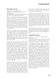# GOA Online Learning

*ID: 49600 (S1) and/or ID: 49601 (S2) Grade: 11-12 Length: Semester I and/or Sem II Credit: Elective Prerequisite: Students must meet and have their learning plan approved by the SAS GOA Site Director*

SAS is a member of the Global Online Academy (GOA), a consortium of the top independent schools from around the world. As a member of GOA, SAS students can enroll in courses as diverse as The Graphic Novel or Medical Problem Solving. Working closely with peers and teachers from the U.S. and other international schools, SAS students have an exciting and flexible online learning opportunity that will challenge them to further develop cultural competence and global citizenship skills.

Students who would like specialized learning options beyond SAS's in-house course offerings may choose to enroll in a one semester or yearlong online course through GOA's broad and rigorous selection of online courses. If this sounds interesting, take a look at the online course catalog options that can be found on the www. globalonlineacademy.org website and then speak with your counselor.

Students who would like to take a GOA course should select the "GOA Online Course" option during the SAS online course request process in April. Once a GOA course is selected, the student is committed to completing the course, so it is important that there be careful consideration. Unlike traditional SAS courses, GOA courses cannot be changed during the add/drop period at the beginning of a semester. In addition, students should note that collaboration with peers and teachers is an essential component of many GOA courses, and students may be expected to manage collaboration and communication across time zones. The SAS GOA Site Director, Mr. Patrick Green, will contact students to assist them through the process of signing up for a specific course through GOA.

Students in grades 11 and 12 may complete a maximum of one credit per year through GOA, with the GOA course replacing one of the six or seven courses that a student would ordinarily take during the academic year. Students are encouraged to select a course that allows them to follow their interests or passions and goes beyond the options available at SAS. A GOA course must be a course that is not already offered at SAS. Credits earned through GOA could be used to

fulfill minimum number of SAS credits required for graduation, but would not fulfill department specific minimum requirements.

The GOA transcript will become a part of the student's official academic record. To earn a credit, the course must be completed prior to the final day of the semester; otherwise the course will be listed as an F. On the SAS transcript, the course will be listed as "GOA Online Course" with a P (pass) grade and 0.5 credit per semester. The grade would not be included in the calculation of an SAS grade point average (GPA). The GOA transcript, including the actual grades, would be sent to colleges as an additional page of the SAS transcript.

While students are encouraged to enhance their learning through other online learning opportunities and report details on university applications, only GOA courses will be listed on the SAS transcript.

# Independent Learning

#### *ID: 49013 Grade: 11-12 Length: Semester Credit: Elective*

*Prerequisite: Students will be required to provide additional information and have their learning plan approved after the course selection process ends.*

The Independent Learning option is designed so that students can study a topic or learn in an area in which no course is available or for students to pursue work experience programs like internships, externships, or employment that is supervised by SAS. Rising juniors and seniors should select the six traditional SAS classes, with the independent course as a seventh course. For the independent learning option to be listed on the SAS transcript, it must be reviewed and approved by the Center for Innovation Coordinator, Dennis Steigerwald, by the start of the semester and must be completed by the end of the semester. Successful completion would provide one-half credit per semester and be listed on the transcript as a P (Pass). The course would not be included in the SAS GPA. In order to ensure that students benefit from the full academic program offered at SAS, an independent activity could not be used to fulfill the SAS subject area graduation requirements. Further information about independent learning options is available from the Coordinator of the Center for Innovation.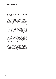# The SAS Catalyst Project

*ID: 48510 Grade: 11-12 Length: Semester Credit: Required beginning with the Class of 2018 Prerequisite: 11th grade students must have approval from their counselor or Mr. Steigerwald in the Center for Innovation*

The SAS Catalyst Project represents the culmination of academic, intellectual, and social-emotional learning experiences where students are provided guidance, resources, and flexible scheduling to explore interests and pursue passions. Teachers act as "guides on the side" for students where learning is differentiated for each student based on their interest, readiness, and learning profile. The Desired Student Learning Outcomes (DSLOs) of communication, collaboration, critical thinking, and creativity) are emphasized, developed, and assessed. As students design, plan, and conduct their projects, they will focus on producing a tangible outcome and encouraged to dive deep into relevant content and knowledge. Often, students experience real world learning and problem solving in authentic contexts (e.g., interviews, work study, scientific research, internships, etc.). Students will be taught how to employ the rich regional and global professional network; starting with working with a mentor from a respective field or profession. The project scope is limited only by the student's imagination. Juniors who have a strong interest in a particular project and are self directed may complete the Catalyst Project as a junior. This would be especially true for students who are planning a heavier senior course load or are applying to a university requiring a demonstration of understanding in a particular academic area (e.g., UK universities).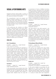# **Visual & Performing Arts**

Singapore American School offers a number of options in the visual and performing arts to meet the needs and interests of all students.

The comprehensive visual arts program will appeal to students interested in art courses that enrich their high school experience, as well as those students who intend to pursue art careers. Courses available cover a broad range of skills that promote innovation using a variety of traditional and digital media.

In the performing arts, students are offered courses in instrumental and vocal music, dance, and theater. These classes and ensembles are geared for every level of experience and ability. Beginning and advanced courses give students superb performance opportunities with specialty classes available for students with greater interest in music. So that performing ensembles can best meet the needs of all students, some courses require an audition prior to enrollment.

# **Visual Arts**

# Art I: Foundations

*ID: 46100 Grade: 9-12 Length: Semester Credit: Visual/Performing Arts*

In this survey course students are exposed to a variety of media through study of the elements and principles of art and design. Students acquire and apply skills using a variety of media and techniques. Pencil, charcoal, colored pencil, various paints, clay, sculptural materials and linoleum for printmaking are examples of media offered to students. Emphasis is placed on skills acquisition and creativity. This course enables students to identify their strengths and possible areas of interest for future development. It provides the necessary foundation for the more advanced Studio Art courses.

# Ceramics I

*ID: 46104 Grade: 9-12 Length: Semester Credit: Visual/Performing Arts*

In this one-semester course students learn basic hand building, decorating and glazing techniques. Students are free to develop their own ideas within structured guidelines while building on acquired skills. Students leave the class with

an assortment of forms of different functions, shapes, and sizes. Instructional time is also spent on sculptural pieces. Students are responsible for preparing their materials and looking after their pieces through the various stages of the ceramic process from construction through glazing. A brief introduction to the potter's wheel will be given as a part of this course but will not be the focus. This course is a prerequisite for students who wish to continue on to learn potter's wheel techniques in Ceramics II.

# Ceramics II

*ID: 46105 Grade: 10-12 Length: Semester Credit: Visual/Performing Arts Prerequisite: Ceramics I*

This class builds on the skills acquired in the Ceramics I class. Students will work towards further mastering basic hand building and may choose to learn wheel throwing techniques on the potter's wheel. A focus on modern ceramic art as it exists today will be the focus of cultural investigation. Students will be given design problems to solve using skills and innovation for developing self-expression. They are responsible for maintaining the ceramic supplies needed and for managing the clay process from construction through glazing.

#### Printmaking & Mixed Media

*ID: 46110 Grade: 9-12 Length: Semester Credit: Visual/Performing Arts*

This course is for students who enjoy handson work and who would like to develop their printmaking skills as a base to their artwork. Students will explore many different types of printmaking, including screen printing, intaglio, linoleum, and collagraphs. Students will also explore the integration of drawing and painting techniques with printmaking to create mixed media work. The emphasis of this course is to use the elements and principles of art and design in contemporary printmaking techniques.

# Studio Art

*ID: 46106 Grade: 10-12 Length: Year Credit: Visual/Performing Arts Prerequisite: Art Foundations or acceptable portfolio*

In this course students are provided with the opportunity to further develop their artistic abilities and interests within a variety of areas: drawing, painting, design, illustration, and mixed media. They find and build upon their strengths in a variety of media within each assignment.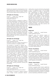Students are exposed to a broad spectrum of art styles allowing each student to find and develop their particular area or areas of interest. Students work to achieve higher levels of proficiency in art.

# AP Studio Art: Drawing

*ID: 46111 Grade: 10-12 Length: Year Credit: Visual/Performing Arts Prerequisite: Studio Art*

The Drawing portfolio is designed to address a very broad interpretation of drawing issues and media. Light and shade, line quality, rendering of form, composition, surface manipulation, and illusion of depth are drawing issues that can be addressed through a variety of means, which could include painting, printmaking, mixed media, etc. Abstract, observational and inventive works may demonstrate drawing competence. The range of marks used to make drawings, the arrangement of those marks, and the materials used to make the marks are endless. Photography, videotapes, digital imaging, photocopies of work, and threedimensional work may not be submitted for the Drawing Portfolio.

# AP Studio Art: 2D Design

*ID: 46112 Grade: 11-12 Length: Year Credit: Visual/Performing Arts Prerequisite: Studio Art or Digital Photography (or concurrent enrollment) or acceptable portfolio*

This portfolio is intended to address two – dimensional (2D) design issues. Design involves purposeful decision making about how to use the elements and principles of art in an integrated way. The principles of design articulated through the visual elements help guide artists in making decisions about how to organize the elements on a picture plane in order to communicate content. Strong design is possible whether one uses representational, abstract, or expressive approaches to make art. For this portfolio, students are asked to demonstrate mastery of 2D design through any two – dimensional medium or process, including but not limited to, graphic design, digital imaging, photography, collage, fabric design, weaving, illustration, painting and printmaking.

# AP Studio Art: 3D Design

*ID: 46113 Grade: 11-12 Length: Year Credit: Visual/Performing Arts Prerequisite: Studio Art or concurrent enrollment*

This portfolio is intended to address sculptural issues. Design involves purposeful decisionmaking about using the elements and principals of art in an integrative way. In the 3D Design portfolio, students are asked to demonstrate their understanding of design principles as they relate to depth and space. The principles of design (unity/variety, balance, emphasis, contrast, rhythm, repetition, proportion/scale, figure/ground relationship) can be articulated through visual elements (mass, volume, color/ light, form, plane, line, texture). For this portfolio, students are asked to demonstrate mastery of 3D design through any three-dimensional approach, including, figurative or non-figurative sculpture, architectural models, metal work, ceramics, and three-dimensional fiber arts.

# **Theater**

# **Stagecraft**

#### *ID: 46544 Grade: 9-12 Length: Semester Credit: Visual/Performing Arts*

Stagecraft covers the technical aspects of theater productions. Student assignments and projects will involve three topic areas: set design and construction, stage lighting, and theater sound systems. Projects in each of these areas will provide students with knowledge and hands on experience with technical equipment used in theaters. All student work that involves construction and work with electrical equipment will include proper safety instruction. All students must follow safety guidelines.

# Theater: Foundations

#### *ID: 46307 Grade: 9-12 Length: Semester Credit: Visual/Performing Arts*

The ensemble is the foundation supporting all our work in theater. Students engage in wide variety of ensemble games throughout the semester. Students develop basic acting skills through scene work and acting exercises. Actor training focuses on realism, which has as its goal 'truthful behavior under imaginary circumstances.'

#### Theater: Improvisation

#### *ID: 46310 Grade: 9-12 Length: Semester Credit: Visual/Performing Arts*

Contrary to popular belief, Improv performers do not just 'make it all up' on the spot. There are skills and structures providing the springboard for entertaining improvisation. Students will develop these skills and performance games in a workshop process emphasizing collaboration and play.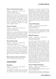### Theater: Advanced Improvisation

*ID: 46314 Grade: 10-12 Length: Semester Credit: Visual/Performing Arts Prerequisite: Theater: Improvisation*

Building on skills learned in Improv, students will work towards a 'Long Form' performance. The ensemble improvises a 20-30 minute set based on a single prompt from the audience. Long form relies more heavily on acting skills, ensemble memory and active listening than short forms. Long form ensembles represent the 'cutting edge' in today's Improv subculture. This course can be repeated for credit.

# Theater: Production

*ID: 46313 Grade: 10-12 Length: Semester Credit: Visual/Performing Arts Prerequisite: Any Theater course*

Students work in small and full-class ensembles rehearsing and performing theater for a public audience. As this course is designed to empower students as 'theater-makers', there is a prerequisite of at least one other theater course. Some after school rehearsals will be required. This course can be repeated for credit.

#### Film/Acting Ensemble

*ID: 46315 Grade: 10-12 Length: Semester Credit: Visual/Performing Arts Prerequisite: Any Theater or Filmmaking course*

In this course, students form a collaborative ensemble to create a short film to be entered in film contests. Students will focus on either the performance or the technical aspects of filmmaking. The entire class will work together on creating story and dialogue, choosing locations and a variety of other aspects of creating a short film.

#### Musical Theater: History & Production

*See entry in Music Exploratory Wheel section*

# **Film and Photography**

#### Filmmaking

*ID: 46404 Grade: 10-12 Length: Semester Credit: Visual/Performing Arts*

The emphasis in this course is the art and craft of filmmaking as students study and practice the single-camera style used by filmmakers in

the production of features and documentaries. Assignments will include readings on film aesthetics and practices and the study of critically acclaimed, early and contemporary films. Practical, hands-on work includes a camera familiarization exercise, a digital-editing exercise, two structured exercises and a final project. Students will write a treatment and script, and prepare a storyboard for the final project. Students will be required to complete work outside of regularly scheduled class meetings. This course may be repeated for credit.

# Advanced Filmmaking

*ID: 46406 Grade: 10-12 Length: Semester Credit: Visual/Performing Arts Prerequisite: Filmmaking*

Students take the skills and experience gained in Filmmaking and work independently to create short films for entry in film festivals. This course may be repeated for credit.

# Digital Photography

*ID: 46519 Grade: 10-12 Length: Semester Credit: Visual/Performing Arts Prerequisite: A digital camera*

This course will introduce students to the limitless possibilities of image making in the digital age. Students will be expected to learn the fundamental concepts and skills related to digital photography and graphic design. This is a project-based course that will require students to integrate the concepts of art and design into a series of assignments that they will create on the computer using Adobe Photoshop software. Students will also learn to use digital cameras, and scanners as image input devices and laser and color ink jet printers as output devices. Topics will include: digital vs. traditional photography, basic digital image adjustment, advanced digital image manipulation, type and text, composite and photomontage, methods of printing and presentation of digital images. Students will be required to submit prints for exhibition as well as prepare and present a final portfolio of their work at the end of the semester.

# Advanced Digital Photography

*ID: 46521 Grade: 10-12 Length: Semester Credit: Visual/Performing Arts Prerequisite: Digital Photography and access to a digital camera, preferably a DSLR*

Advanced Digital Photography is designed as a continuation of the current semester long Digital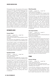Photography course. The purpose of this second course is to provide motivated students with the opportunity to expand on the knowledge and skills they acquired in Digital Photography. This is a project-based course, which seeks to challenge the student's creative and technical skills through the creation of both "straight" and manipulated digital images. Topics to be covered will include advanced digital camera skills using a DSLR camera, advanced Photoshop skills as well as the use of several other digital image and multimedia software. Students will be expected to design a final creative project in a direction and area of their interest. Throughout the course, students will be required to submit prints for exhibition as well as prepare and present a multimedia final portfolio of their work at the end of the semester.

# **Instrumental Music**

#### Concert Band

*ID: 46202 Grade: 9-12 Length: Year Credit: Visual/Performing Arts*

*Prerequisite: Intermediate to advanced ability on a band instrument*

*Fee: Performance attire S\$50-\$150. A limited number of instruments are available for rental at S\$150 per year*

Concert Band is open to all students who have had previous experience on a band instrument. The band will perform in concerts during the year, playing a variety of musical styles ranging from popular to classical. This course may be repeated each year for credit. All Concert Band members are required to attend all scheduled performances, including after school or weekends.

# Symphonic Band

*ID: 46210 Grade: 9-12 Length: Year Credit: Visual/Performing Arts Prerequisite: Audition Fee: Performance attire S\$50-\$150. A limited number* 

*of instruments are available for rental at S\$150 per year* Symphonic Band is an audition-based group for

intermediate to advanced musicians who wish to challenge their skills with more difficult music. The band will perform in four major concerts during the year, playing a variety of musical styles ranging from popular to classical. This course may be repeated each year for credit. All Symphonic Band members are required to attend all scheduled performances, including after school or weekends.

# Wind Ensemble

*ID: 46208 Grade: 9-12 Length: Year Credit: Visual/Performing Arts Fee: Performance attire S\$50-\$150. A limited number of instruments are available for rental at S\$150 per year*

Wind Ensemble is a very advanced band course for serious musicians who wish to challenge their skills with more difficult music. They play a varied repertoire of classical and popular music and will be encouraged to do solo and small ensemble performances as well. The Wind Ensemble represents the school in the community through concerts and programs. This course may be repeated each year for additional credit. All Wind Ensemble members are required to attend all scheduled performances, including after school or weekends.

#### Jazz Improvisation

*ID: 46217 Grade: 10-12 Length: S1 Credit: Visual/Performing Arts Prerequisite: Successful audition to Wind Ensemble and teacher recommendation Fee: Please see Wind Ensemble*

Jazz Improvisation is offered to advanced musicians seeking to further their knowledge and skill in the jazz idiom. Students will study basic chords, scales and patterns used in improvisation, further develop small ensemble and combo playing skills and explore a variety of jazz standards. Students in Jazz Improvisation will perform with both the Wind Ensemble and the HS Jazz Band. This is a fall semester course, and students in Jazz Improvisation will be enrolled in Wind Ensemble during the spring semester. Students interested in enrolling in Jazz Improvisation must audition successfully for Wind Ensemble and subsequently request the approval of the Band Director.

# **Strings**

# Concert Strings

*ID: 46213 Grade: 9-12 Length: Year Credit: Visual/Performing Arts Prerequisite: Experience with a string instrument Fee: Performance attire S\$50-\$120. Instrument rental at S\$150 per year if required.*

Concert Strings is designed to help students with one to three years experience playing a stringinstrument to prepare for String Ensemble. This is an ideal setting for the string student who would like to switch instruments (i.e., violin to viola or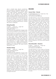cello to double bass). Special consideration will be devoted to developing technique, with particular emphasis placed on shifting, facility in the upper positions, developing a mature vibrato, and more advanced bow technique. Students will be exposed to a wide range of styles, including: classical, folk, jazz and rock. The history of orchestral music, string instruments and the general maintenance of the instrument will also be covered. This course may be repeated each year for credit. All students are required to attend all scheduled performances, including after school or weekends.

# String Ensemble

*ID: 46209 Grade: 9-12 Length: Year Credit: Visual/Performing Arts Prerequisite: Audition Fee: Performance attire S\$50-\$120. A limited number of instruments are available for rental at S\$150 per year.* 

String Ensemble is for the advanced student who is serious about music performance. Placement in this ensemble is by audition only and will consist of three octave scales, prepared repertoire and sight-reading. Students will improve their individual pedagogy as well as learn about the theory, style and form of music through the study and performance of quality literature. Study with a private tutor is highly recommended for students in this course. Attendance at scheduled performances is required. This course may be repeated for credit.

#### Chamber Strings

*ID: 46229 Grade: 9-12 Length: Year Credit: Visual/Performing Arts Prerequisite: Audition*

*Fee: Performance attire S\$50-\$120. A limited number of instruments are available for rental at S\$150 per year.* 

Chamber Strings is geared for the budding virtuoso who is very serious about music, and wants to take their performance to the highest level (think… "Instrumental Music AP"). The instrumentation for this ensemble will be set at 12 violins, 4 viola, 4 cello and 2 bass. Placement in this prestigious ensemble will be by rigorous audition stressing intonation and musicality. The demanding repertoire will be the catalyst for understanding the stylistic characteristics of music throughout the ages. The smaller size of this group will allow students to strive for a very refined, articulate performance standard, and exploration of the various tone colors possible on a stringed instrument.

# **Vocal Music**

# Concert Choir - Chorale

*ID: 46203/46205 Grade: 9-12 Length: Sem or Year Credit: Visual/Performing Arts Fee: Performance attire S\$50-\$150.* 

The SAS Chorale is a choir of males and females that will sing a wide variety of choral repertoire both in the large group and in smaller ensembles. Students will advance their skills while learning about different musical styles through music prepared for public performance. From this choral experience, students will develop an excellent level of musicianship and will refine their vocal techniques. The Chorale represents the SAS community through various concerts and programs, sometimes as many as three or four per semester. Chorale members will participate in an annual Choir Festival with a well-known guest conductor. Students choosing this course may take it for just one semester (46203) or for the full year (select both 46203 and 46205). In order to be eligible to audition for SAS Singers it must be taken for the whole year. All Chorale members are required to attend all scheduled performances and rehearsals, including after school or weekends. This course may be repeated for credit.

#### Choral Ensemble - Chanterie

*ID: 46212 Grade: 9-12 Length: Year Credit: Visual/Performing Arts Fee: Performance attire S\$50-\$150.* 

The SAS Chanterie is a choir made up of females that will sing a wide variety of choral repertoire both in the large group and in smaller ensembles. Students will advance their skills while learning about different musical styles through music prepared for public performance. From this choral experience, students will develop an excellent level of musicianship and will refine their vocal techniques. The Chanterie represents the SAS community through various concerts and programs, sometimes as many as 3-4 per semester. Chanterie members will have the opportunity to participate in two specific activities of note; 1) The Annual Music Festival with a well-known guest conductor, 2) a collaborative performance with dance and drama classes. All Chanterie members are required to attend all scheduled performances and rehearsals, including after school or weekends. This course may be repeated for credit.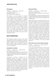# SAS Singers

*ID: 46206 Grade: 9-12 Length: Year Credit: Visual/Performing Arts Prerequisite: Audition Fee: Performance attire S\$50-\$150.* 

SAS Singers is a small ensemble of selected musicians who wish to participate in a variety of musical performances. They will learn to analyze music, develop choral techniques, recognize musical styles, and demonstrate movement to music (choreography). They will serve as an elite group, singing many genres of music including jazz, popular and madrigal music as well as toplevel choral repertoire. Each member will also be expected to function as an integrated chorale within the other two choirs for major classical works. The Singers frequently represent the school in the community, sometimes 5-8 times per semester. SAS Singers have one required evening rehearsal per week. This course may be repeated for credit.

# **Music Exploratory Wheel**

The following courses are part of the music exploratory wheel and are designed to introduce students to aspects of music beyond the traditional areas of strings, vocal, and instrumental music. Many of these courses are offered in alternate years. Sufficient student interest is required for a course to be offered.

#### Introduction to Guitar

#### *ID: 46214 Grade: 9-12 Length: Semester Credit: Visual/Performing Arts*

*Note: Offered each year. Students should provide their own guitars (preferably a classical instrument); there are a limited number of school instruments available for rent at S\$50 per year*

Introduction to Guitar is designed for the beginning guitarist who wants to learn the fundamentals of guitar pedagogy in a classroom setting. Students will be exposed to a wide range of styles, including: classical, folk, jazz and rock. The history of the guitar, what to look for when buying a guitar, along with tuning and general maintenance of the instrument will also be covered. Students will learn to read standard notation and tablature as well as strategies for reading rhythm patterns. This class will equip students with the skills necessary for a lifetime of enjoyment on this beautiful and practical instrument.

# Advanced Guitar

*ID: 46218 Grade: 9-12 Length: Semester Credit: Visual/Performing Arts*

*Prerequisite: Successful completion of Introduction to Guitar or audition.* 

*Note: Offered each year. Students should provide their own guitars (preferably a classical instrument); there are a limited number of school instruments available for rent at S\$50 per year*

Advanced Guitar is a one semester, elective course offering intermediate to advanced instruction on the guitar. Students in this course will improve their skill in open, power and moveable (barre) chords, using a variety of accompaniment styles. Continued development of right hand technique (pick and finger style) will also be a focus. Students will improve their reading skills in both traditional notation and tablature. Increased knowledge of the guitar finger board will be a main goal for the course, along with the exploration of secondary chords and embellished chords. Students will be exposed to a wide range of quality literature designed to improve overall technique and musicianship. Students will also learn basic digital recording techniques using ProTools and an analogue mixing board. Students will leave this course with a "portfolio" CD of their recorded repertoire.

#### Music Performance & Recording Technology

*ID: 46545 Grade: 10-12 Length: Semester II Credit: Visual/Performing Arts*

In this course students will learn to create, record and distribute music. It will focus on teaching students to become better performing artists and recording engineers and to support them in the pursuit of their own musical interests. Student projects can include work on student audition recordings, live concert recordings, and independent projects. Recording topics will cover basic functions of microphones, mixing desks, digital recording, and music editing software such as Garageband, Audacity, and Logic. Creating topics can include writing new music or working on existing songs for live performance or mastered recordings. Course topics for distributing music will cover creating CDs, podcasts, videos and use of social media. Students will work throughout the semester to create a portfolio of audio projects related to the students areas of interest and expertise.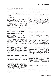# **Music Courses not offered this year**

Some music exploratory courses are offered in alternate years (assuming there is sufficient student interest). The following will likely be offered again in 2017-18.

# Vocal Technique

*ID: 46224 Grade: 9-12 Length: Semester I Credit: Visual/Performing Arts Note: Not offered in 2016-17, likely will be in 2017-18*

This class is designed for students who would like to improve their singing. Through a variety of genres (e.g., popular, musical, folk, classical) students will work on their individual vocal technique and music reading skills. Specific topics will include the following: 1) Vocal Warm-ups, 2) Vocal Skill and Support, 3) Performance Skill, 4) Stylization, and 5) Efficient Music Reading.

# Music Exploration: Rock-n-Roll

*ID: 46226 Grade: 9-12 Length: Semester II Credit: Visual/Performing Arts Note: Not offered in 2016-17, likely will be in 2017-18*

This course is for anyone who wants to learn more about rock & roll. Students will study the history of rock and roll as a musical genre, and become familiar with the major styles of rock music along with the elements and artists that define those styles. Students will develop active listening skills and the ability to discuss rock music intelligently. Students will explore songwriting, chord changes, and the basics of the rock band instruments: guitar, bass, drums, and keyboards. In the spirit of Rock, no previous skills are necessary to take this class - just a willingness to learn. "Hey! Ho! Let's Go!" - The Ramones.

#### Music of Our Time: Modern Music/DJing

*ID: 46225 Grade: 9-12 Length: Semester I Credit: Visual/Performing Arts Note: Not offered in 2016-17, likely will be in 2017-18*

This course provides students with a deeper understanding of the popular music listened to on a daily basis. With the help of guest artists in the pop music and DJing fields as well as class discussion and research, students will intelligently discuss their favorite genres as well as write and perform them. The topics of DJing and modern popular music are broad; consequently, the students will determine many of the topics in this course.

# Musical Theater: History and Production

*ID: 46226 Grade: 9-12 Length: Semester II Credit: Visual/Performing Arts Note: Not offered in 2016-17, likely will be in 2017-18*

This course provides an in-depth study and practical application of musical theater. Students will research, rehearse and perform material from the musical theater genre. In the first quarter the students will examine examples of Broadway musicals. In the second quarter the students will write, direct, produce and perform original musicals. No prior experience is necessary but students must be willing to try all aspects of the modern musical.

# **Dance**

#### Dance I - Introduction to Dance

#### *ID: 48002 Grade: 9-12 Length: Semester Credit: PE or Visual/Performing Arts*

This course is designed for any male or female who would like to use the assets of dance to improve physical fitness and to develop the confidence and ability to dance either for fun or as a performer. This course combines fitness, dance technique, and dance choreography. The class is designed to improve physical skills such as, posture, strength, flexibility, stamina, and balance, as well as introduce choreographic and improvisational techniques. Students will learn the techniques and vocabulary for various types of dance, including ballet, lyrical, contemporary, jazz, hip hop styles. Students will incorporate what they have learned into creative dance choreography. Appropriate injury prevention techniques will be explored along with aspects of the anatomy and nutrition. Students will perform for each other in class and have the option to perform at the semester show. All students are recommended to take Dance 1, despite previous studio dance experience. Concepts covered within a dance education class are different to what is covered in a studio technique class. Dance education and studio dance compliment each other beautifully.

# Dance II

*ID: 48003 Grade: 9-12 Length: Semester Credit: PE or Visual/Performing Arts*

*Prerequisite: Dance I or equivalent (not technique/ studio) experience*

Dance II is a course designed for students who have a serious interest in dance and who wish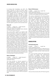to increase their knowledge and skills. The course continues to focus on fitness, dance choreography, various styles of dance, and body mechanics techniques, but at a more complex level. Students will be expected to master more detailed technique, will explore creative choreographic expression, and will accomplish and assimilate dance skills at a more rapid pace. Students will also be asked to provide more in depth choreography analysis and to use more complex choreographic forms in their own work. Students will perform for each other in class and have the option to perform at the semester show.

# Dance III

*ID: 48004 Grade: 9-12 Length: Semester Credit: PE or Visual/Performing Arts Prerequisite: Dance II or equivalent dance education (not technique/studio) experience* 

This course allows students to continue their technical training in dance, while offering them more opportunities to explore choreography. It will also prepare students for the auditions for Dance Performance. Dance III has three major goals: 1) To continue building and strengthening the dancers' technique in a variety of dance forms; 2) The course will also provide an opportunity for dancers to study and discuss and analyze dance history, philosophy and theory concepts to a greater depth; 3) To allow students the opportunity to choreograph longer pieces and pieces for different purposes. These performances will be performed and recorded. There are possibilities for performances outside of the classroom in this course. This class also provides an opportunity for more advanced dancers to learn the skills needed to teach creative dance classes to their peers and the wider community. Some costs may be incurred for the purchase of costumes and shoes.

#### Dance Technique

*ID: 48030 Grade: 9-12 Length: Semester II Credit: PE or Visual/Performing Arts Prerequisite: Dance I*

This class provides an intensive approach to skill development, etiquette, discipline and knowledge of the three dance styles: ballet, jazz and modern/contemporary. Each technique class will cater to specific needs and abilities. The semester is broken into three sections where each dance style is studied and practiced intensively. This course differs from the other dance courses with less focus placed on choreographic skills and more focus on practical dance skills and physical skills.

### Dance Performance

*ID: 48006 Grade: 10-12 Length: Year Credit: Visual/Performing Arts Prerequisite: Audition (completed Dance III and taught in the after school Middle School Dance Program)* 

This course is designed for the serious dancer who has had dance training and would like to experience choreographing and performing more intensely. Students will continue learning and working on dance techniques. They will also learn more about choreography, dance design and choreographic devices. They will be expected to work as a team with guidance to teach, stage and direct their own dances for the semester production. Students will be asked to critique and evaluate their own and other dancers' choreography and performances in more depth using appropriate terminology. Students will be expected to rehearse at least three afternoons each week (4:15-6:00 PM), increasing to daily rehearsals prior to the show. They will be expected to attend all scheduled rehearsals and participate in school performances as well as attend community performances. Some costs may be incurred for the purchase of costumes and shoes.

# **Advanced options**

# AT Performing Arts

*ID: 46325 Grade: 12 Length: Year Credit: Visual/Performing Arts*

*Prerequisite: Completion of 3 years in a SAS performance group and completion of application process detailed*  below. Specific strands may also include course pre*requisites.*

This course provides students with opportunities to create and engage with university-level performance experiences. Students working within one of the disciplines of Dance, Drama, Vocal or Instrumental Music will fulfill requirements specific to that discipline. These include: guided research, exploration of methodologies, development of a performance, and in depth reflection. The application process is as follows: a) students audition as per usual for higher level performance groups by March, b) upon passing the audition, students submit a written application, and c) applicants are vetted by a Performing Arts Teacher panel in April. All applicants must be rising seniors.

There are three strands within AT Performing Arts: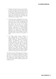- 1. The Music strand is for serious music students. AT Music students will expand their group performance experience by performing as an individual and by deepening their skill as music analysts, theorists and historians. The strand was collaboratively developed and endorsed by Dr. Travis Cross from University of California Los Angeles in 2016.
- 2. The Dance strand is designed for the serious dancer who has had sufficient dance training and would like to study choreography and production aspects more intensely. Students will continue to be part of the Dance Performance class and the two semester production, but will also engage in guided research, exploration of methodologies, development of a performance, and in-depth reflection. This strand was collaboratively developed and endorsed by Cyrus Parker Jeannette, Dean of the College of the Arts, California State University at Long Beach in 2016.
- 3. The Drama strand requires students to work collaboratively to create a piece of original theatre and has a prerequisite of Theater Production. Students will assume positions of leadership in the ensemble: creators, designers, and directors, as well as performers. They will work in ensembles to examine and develop ideas to generate theatrical material for performance. This strand was collaboratively developed and endorsed by Mark Charney, Associate Director of National Critics Institute, Eugene O'Neill Theatre Center and Head of Theatre and Dance at Texas Tech University in 2016.

The Advanced Topic (AT) designation indicates a course is at university level, putting it at or above the level of a traditional Advanced Placement (AP) course. The course requires rigorous study and emphasizes in-depth research. Like an AP course, this course has an additional grade point weighting of 0.5.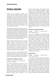# **Physical Education**

Students must successfully complete three semester courses in Physical Education. Students may repeat a PE course for an elective credit, but a repeated course may not be used to fulfill the PE graduation requirement. Students may not be enrolled in more than one PE course per semester. All students in physical education classes are required to participate actively in physical fitness, conditioning, and aerobic activities on a regular basis. Students will be assessed regularly on the rules and skills of the sports being taught as well as on their level of fitness.

Technology is an integral part of the PE curriculum and the department adopts relevant applications as they become available. Due to the special nature of the subject area, the scope reaches beyond the laptop driven research and interaction framework to include specific software like the Fitness Gram program that each student completes twice each semester. Results are linked to age specific scores from North America to provide teachers, students and parents with a comparison to others.

Video recording of skills acquisition are routinely utilized to ensure that students are grasping specific movement patterns inherent in the learning of skills. Heart rate monitors are utilized so that students and teachers can track real time fitness levels in many courses. The use of pedometers allows the student to ascertain the volume of movement they are involved in daily and stopwatches help to quantify progress.

Laptops are used to keep abreast of best practices and research on recent methodology of movement as well as to reinforce learning on a cognitive scale; up to 25% of the course grade is based upon theoretical retention of information.

# Field Hockey, Softball, and Golf

#### *ID: 48015 Grade: 9-12 Length: Semester Credit: Physical Education*

This course includes basic instruction in three areas. In field hockey, students will learn to properly handle the hockey stick and develop the skills of passing, receiving, dribbling, shooting, tackling, and goal keeping. In the softball unit, students will learn the primary skills of softball throwing, catching, running and batting. They will develop skills required to play offensive and defensive positions. Upon completion of the

softball and field hockey units, students will be able to employ appropriate strategies in game situations and will demonstrate skill in playing and officiating. At the conclusion of the course, students should be able to play softball and field hockey with enjoyment and confidence. Golf makes up the final unit of the course, which is designed for both beginners and experienced students. Students will develop many golf skills including hitting off a tee, driving with an iron, chipping, and putting. Course etiquette, score card understanding, safety aspects, penalties and club selection will be covered. Instruction will be augmented with sessions at a local driving range. Upon completion of the unit, students will have the skills and proficiency to play a regular round of golf.

# Fitness for the Body and Mind

*ID: 48024 Grade: 9-12 Length: Semester Credit: Physical Education*

This course is designed to teach students the process of using exercise to not only challenge the body but also to stimulate the brain by using various exercise forms such as Yoga, Pilates, Drums Alive, Qi Kung, Tai Chi and other martial art disciplines. Students will challenge their balance, strength, flexibility, coordination and concentration through these various disciplines as well as through fusion exercises such as Iron Yoga, Yo Chi, Yoga with Stability Balls, Pilates with BOSU and TRX. The objective of this course is to seek an alternative route to stimulate cognitive development through providing physical and mental challenges, which in return, result in a stronger focus, self discipline and ultimately in increased self confidence.

# Group Fitness

*ID: 48001 Grade: 9-12 Length: Semester Credit: Physical Education*

This is a group exercise program with an emphasis on strength and fitness conditioning offered to students looking to get stronger, fitter and more importantly, to be able to move more efficiently through a variety of fitness related exercises and workouts. The course is designed to encourage intense and vigorous participation with a focus on the basic foundations of movement using a wide variety of fitness tools to enhance movement efficiency. The following equipment will be used: BOSU, Kamagon Balls, SMART boards, Slastix bands, Slingshots, Suspension Trainers, Stability balls, Medicine Balls, Slam Balls, Kettlebells, Barbells, Dumbbells, Sandbells, Sandbags, Battle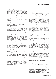Ropes, Ladders, and Hurdles. Student will learn to train like an athlete and will learn exercises to increase strength, endurance, coordination, flexibility and balance through these various forms of group fitness exercises using a distinct progressional method. Students will use heart monitors to better understand how to maximize their workouts for optimal health. Nutrition, kinesiology and fitness concepts will also be covered to enhance their knowledge of fitness education.

# Group Fitness II

*ID: 48029 Grade: 9-12 Length: Semester Credit: Physical Education Prerequisite: Group Fitness*

This course will provide students with the opportunity to get a deeper understanding behind the concepts of Movement Efficiency Training. In addition to applying these concepts for their own personal use, they will be able to safely design training programs for students and adults during class time or through the "House of Pain" SAS after school fitness club. Students will have the opportunity to set up their own training practices, market the program to students or adults, and teach, coach, or train small groups. Valuable information on motivational and cueing techniques, the principles of class design, creating a positive fitness experience, progressions and regressions for multi-level classes, exercise and movement selection, sequencing, choreography, program modifications, music and legal guidelines will also be covered in the course.

#### Indoor Team Sports

*ID: 48009 Grade: 9-12 Length: Semester Credit: Physical Education*

This course is designed to develop and improve ball skills, teamwork, muscular strength and endurance. Students will learn the basic skills, techniques and strategies of volleyball, basketball, team handball and indoor soccer. They will practice these skills in individual and group drill situations. When students have mastered these basic skills, regulation games will be played. Students will be tested on all pertinent theoretical aspects of each activity.

# International Sports

#### *ID: 48008 Grade: 9-12 Length: Semester Credit: Physical Education*

This PE course will include the following 3 core disciplines/activities: Netball, (Indoor) Cricket and Archery. Additionally students play 2 of the following other activities: Ultimate Frisbee, Sepak Takraw, Tchouk Ball and Lacrosse. Each of the sports will focus on fundamental movement patterns (i.e. passing & receiving, shooting, batting, running, fielding) designed to make the student competent with regard to the basic skill sets in order to demonstrate and participate in organised play and interclass competition. At the conclusion of the course, students should be able to play all sports with enjoyment and confidence. A comprehensive skill and written assessment will be administered at the conclusion of each unit, as well as a practical based final exam project at the end of the course.

# Climbing and Adventure Training

#### *ID: 48028 Grade: 9-12 Length: Semester Credit: Physical Education*

This course is designed to introduce students to elements of adventure sports and adventure training. Adventure training challenges students in teams and as individuals through games and engineering configurations. The semester starts with trust building activities needed for both the climbing wall and the challenge course. Students will learn different types of knots and safety information needed to participate. Bouldering, belay work, various climbing routes, rappelling and constant communication are skills that will be recurring through out the semester as we start on the indoor climbing wall and slowly and safely work our way to the high elements on our outdoor ropes course. An added aspect will be a fitness component that will support and enhance the students' endurance, flexibility and strength in order to become more efficient on the wall.

# Personal Defense and Combatives

#### *ID: 48027 Grade: 9-12 Length: Semester Credit: Physical Education*

This course is designed to expose students to a variety of Mixed Martial Arts type techniques and strategies that combine stand up and ground work related to personal defense and athletic training. It involves martial arts techniques from disciplines such as boxing, jiu jitsu, judo, krav maga, tae kwon do and wrestling. Students will learn the basic elements of striking, kicking,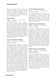takedowns, and ground defense work as well as mental strategies in a safe and controlled environment. Additionally students will learn self-defense principles and strategies on how to be safe and aware of potential dangers in their surroundings. The course will include both practical and theoretical work.

# Racquet Sports

*ID: 48016 Grade: 9-12 Length: Semester Credit: Physical Education*

This course is designed to expose the students to five distinct racket activities: badminton, table tennis, pickleball (modified indoor paddle tennis), soft indoor tennis, and court tennis. The course will focus on stroke development, game analysis and play refinement. Students will work on improving hand-eye coordination and reaction time response. Singles and doubles play strategies will also be presented. Practicing court etiquette, officiating, scoring and participating in round robin or bracket tournaments will conclude the class activities. A comprehensive skill and written assessment will be administered at the conclusion of each unit.

# Soccer, Flag Football and Rugby

#### *ID: 48014 Grade: 9-12 Length: Semester Credit: Physical Education*

Through this course students will become knowledgeable about the rules and regulations of soccer, flag football, and rugby and will be able to officiate games. In soccer, students will learn to perform skills at a satisfactory ability level, integrate soccer skills into a regular game situation, apply rules and strategies, and also teach skills to the other students. In the flag football unit, students will learn locomotor skills such as running (forward, backwards), shuffling sideways, handing the ball off to another player, throwing, and catching with good biomechanics. Basic offensive and defensive plays and strategies will be explored and implemented in order for the student to fully understand and enjoy the experience of participation in flag football. Students will demonstrate knowledge of, correctly follow, and apply the rules of flag football. In the final unit of this course, coeducational rugby will be taught and played. Touch rugby will be introduced during the initial period of the course. After mastering the basic skills and techniques of the game, students will be able to apply them in scrums, rucks, mauls, lineouts, and kickoffs in drills and game situations.

# Track and Field: Running Events

*ID: 48017 Grade: 9-12 Length: Semester Credit: Physical Education*

This course will concentrate on the sprints, relays, and middle distance running events. The 100, 200, 400, 800 and 1500 meter distances will be covered as well as the  $4 \times 100$  and  $4 \times 400$ relays. Students will complete the various training methodology for each discipline along with the relevant theory associated for the successful completion of the events.

# Weight Training and Conditioning I

#### *ID: 48018 Grade: 9-12 Length: Semester Credit: Physical Education*

This course is designed to meet the needs of students who demonstrate an interest in developing personal fitness skills and gaining knowledge of anatomy and physiology. The course introduces students to many aspects of physical fitness, weight training, and conditioning and their role in promoting strength, muscular endurance, cardiovascular endurance, agility and flexibility. Students will apply weight training and fitness concepts through the development of their own personal fitness program. Students will learn the proper use of the Universal weight machine and free weights. Students will also become knowledgeable about various nutritional and weight control programs and will be able to analyze the effectiveness of each of the programs studied.

# Weight Training and Conditioning II

*ID: 48019 Grade: 9-12 Length: Semester Credit: Physical Education Prerequisite: Weight Training I* 

This course is designed to continue the students' knowledge and skill in the components of physical fitness: strength, muscular endurance, cardiovascular endurance, agility and flexibility. The resistance-training program includes: free weights, circuit training, flexibility instruction and aerobic activities. Theoretical instruction comes from a variety of sources including physiology texts, salient journals and teaching periodicals. The students' knowledge of this theoretical base, along with practical application, forms the core concepts of this offering. Students will be graded on both practice and theory.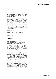# Lifeguarding

*ID: 48023 Grade: 10-12 Length: Semester Credit: Physical Education*

*Prerequisite: Must be at least 15 years old and be able pass the prerequisite swimming test. If uncertain about your swimming skills, check with a PE teacher before requesting this course.*

The purpose of the Lifeguarding course is to teach lifeguards the skills and knowledge needed to prevent, recognize, and respond to aquatic emergencies and to provide care for injuries and sudden illnesses. The American Red Cross Lifeguard Training Program curriculum is used for this course. Upon successful completion students will receive the following certificates: Lifeguarding, First Aid, CPR and AED Administration for the Professional Rescuer.

# Dance Courses

*See entry in Visual/Performing Arts section*

# **Advanced options**

#### AT Kinesiology

*ID: 48000 Grade: 11-12 Length: Semester Credit: Physical Education Prerequisite: Completion of Biology and a B+ in Chemistry or B in Accelerated Chemistry* 

This course is designed to provide students with selected foundational knowledge in kinesiology. Modules focus on basic anatomy and introduce key aspects of exercise physiology, biomechanics, and motor behavior. Students will have the opportunity to apply course content through project-based learning. Projects may look to explore and investigate areas such as human performance, personal wellness, public health, and quality of life across the lifespan. This course aims to prepare students to pursue further studies in physical education and medical fields. This course was collaboratively developed and endorsed by Professor Collin Webster at the University of South Carolina in 2016. The Advanced Topic (AT) designation indicates a course is at university level, putting it at or above the level of a traditional Advanced Placement (AP) course. The course requires rigorous study and emphasizes in-depth research. Like an AP course, this course has a grade point weighting of 0.5.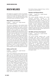# **Health/Wellness**

All students are required to take one semesterlong Health and Wellness course in grade 10. All courses will include the following critical issues components: human sexuality and diseases, drug and alcohol issues, and decision-making.

# Body Systems and Diseases

*ID: 48011 Grade: 10-12 Length: Semester Credit: Physical Education*

This course is designed to help students better understand body systems and their functions. Students will understand the impact of personal health, behaviors and life-styles on body systems. Emphasis will be placed on such important diseases and disorders as heart disease, cancer, diabetes, and AIDS. Students will become aware of the major communicable and noncommunicable diseases with the emphasis on prevention, treatment, and significant medical breakthroughs. Students will also learn how research and medical advances influence prevention, life-style, wellness and the control of health problems. Knowledge of the short and long term effects associated with the use of alcohol, tobacco, and other drugs on reproduction, pregnancy, and the health and wellness of an individual will be emphasized. A preventative versus a curative approach will be taken in order to encourage students to take responsibility for their own life-styles and wellness.

# Safety and First Aid

#### *ID: 48012 Grade: 10-12 Length: Semester Credit: Physical Education*

This course is designed to help students become aware of their surroundings and how they can affect their own and other's safety, and to help them deal with potential accidents and hazardous situations. The First Aid section will teach students what to do in a number of emergency medical situations. The course will follow American Red Cross Emergency Response programs for First Aid and CPR. Besides becoming proficient in CPR and other immediate related life saving techniques, complete emergency response first aid training will examine the most common injuries and situations associated with sports and other activities. Students will receive Red Cross certifications in both First Aid and CPR. Additionally, a 3-4 week study review of Critical Issues will be included on a variety of topics

like alcohol, tobacco, (mis)used drugs, nutrition, sexuality, STIs and HIV/AIDS.

# Nutrition and Physical Fitness

#### *ID: 48007 Grade: 10-12 Length: Semester Credit: Physical Education*

This course provides students with current nutritional information, focusing on the interrelationships among diet, exercise and weight control. The effects of stress, as well as measures to combat stress in our daily lives, will be examined. The components of physical fitness, strength, muscular endurance, cardiovascular endurance, agility and flexibility will be studied. The course also examines training methods designed to achieve total fitness. The relationship between healthy life-styles and the attainment of wellness will also be explored.

# Life Skills and Human Development

*ID: 48010 Grade: 10-12 Length: Semester Credit: Physical Education*

This course provides students with a solid knowledge base about important personal and social skills to help them make appropriate life-style decisions. Topics include the misuse and abuse of alcohol, tobacco and illicit drugs; human development, including reproduction, development of relationships, marriage and divorce; and sexually transmitted diseases, including behaviors that lead to them and how to avoid them. Student participation in discussions and projects is a key element. Students should be mature and forthcoming in their attitudes toward the subject matter.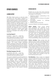# **Other Courses**

# **Learning Support**

SAS offers limited services to meet the needs of students who need support, assistance, or further instruction in order to be successful in the regular academic program. The Learning Support Department provides educational intervention to students identified as needing support in their academic course work. The goal of the program is to allow students with special needs to achieve meaningful success at SAS. By utilizing laptop computers and equipment such as visualizers, students will be able to reinforce newly taught concepts introduced in their regular subject classrooms to strengthen their writing, math and study skills.

# Learning Support

*ID: 47501/2 Grade: 9-12 Length: Year Credit: May be taken for credit or non-credit Prerequisite: By school professional referral*

The goal of this course is to help students acquire the skills necessary for success in their academic program. This course includes developing students' executive function skills, development of learning strategies and behaviors for academic success. Through small group instruction, students are assisted in applying these skills and strategies to their course work. This course is not intended to be used as supervised study.

# Reading/Language Arts Lab

*ID: 47510-9th / 47511-10th Length: Year Credit: May be taken for credit or non-credit Prerequisite: By school professional referral*

This course is designed to provide assistance to identified students in grades 9 and 10 to improve their reading, writing, speaking, listening, and vocabulary skills in English. Students address strategies to read and write effectively. Interventions target reading comprehension, reading speed, organizing ideas for writing, developing writer's craft, revision process, and using grammar and mechanics to compose clear sentences, based on each student's individual needs.

# **Interim Semester**

Students do not select their Interim Semester courses until the beginning of the academic year. The program is committed to:

- deepening students' understanding of the world around them;
- inspiring students to contribute to the global community;
- encouraging students to challenge themselves; and
- building a sense of community.

Courses are offered in the following categories:

*Global Studies:* These courses denote active participation and awareness of our interconnectedness with people and cultures around the world. Students will deepen their understanding of the world through themes. These themes may cross any academic discipline and often focus on development (resource management, environmental care, poverty), peace and conflict, cultural expression, and political conditions. Language study, which facilitates all cultural understanding, is also a valued focus area.

**Service Learning:** These courses have the capacity to touch on each of the desired student learning outcomes of the school's strategic focus. By using the model that knowledge leads to compassion, and compassion to action, servicelearning projects give students the opportunity to make a positive impact on the local community in which they work. Service learning provides a framework in which students learn and develop through active contribution in thoughtfully prepared service that meets the needs of the community. Beginning with members of the Class of 2016, students must complete at least one service learning Interim course.

*Eco-Adventure:* These courses are designed around the belief that the outdoors provides the greatest context for humans to grow socially, emotionally and academically. As such, ecoadventure courses provide students opportunities to learn and develop physically and intellectually while being fully immersed in the natural environment. Students will return from these excursions with an improved self-perception, increased academic skill-set and a robust sense of the environmental dynamics of the region visited.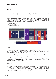# **Quest**

Quest is an exciting and innovative new program for Seniors at SAS. Students who are interested in Quest should plan their high school career to ensure their eligibility in their senior year.

Quest provides structure and time to support students in pursuing their curiosity and passions. Instead of taking traditional courses, students will earn credits by engaging with interdisciplinary projects that are personalized to their interests. The program is designed to allow flexibility in scheduling so that students have the time to explore, innovate, and be inspired. Students will also develop skills and connections to the real world through different experiences such as:

- Corporate partnerships
- Community outreach
- Interdisciplinary projects
- Off-campus experiences



#### **Year Overview**

The Quest calendar is designed to ensure students can participate in extracurricular and spirit activities. With the exception of starting school two weeks early and receiving two extra weeks for winter break, the Quest calendar aligns with the SAS calendar.

The units stress skill acquisition through interdisciplinary projects personalized to the interests of each student. Quest students explore various topics, forms of communication, and are encouraged to engage with school, community, and global networks. Throughout the year, students will practice time-management, project organization and develop skills such as critical thinking, creativity, and communication. The year culminates with the senior project thesis paper, thesis talk, and thesis defense, as well as a student-planned interim trip.

#### **Daily Schedule**

Each student in Quest will schedule their time around the Quest community time, group project work and the senior project. Throughout the day, the advisors will regularly provide personalized resources and assistance to ensure that students are meeting expectations and discovering strategies that work for them to be responsible for their own learning. As such, there is no "set schedule" for how a Quest student will spend their time. Students will have flexibility and accountability to plan their time as needed.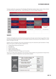To help visualize the uniqueness of the flexibility afforded the students, below is what a daily schedule of a Quest student might look like: Credit Offerings: AT, AP and College Preparatory

|                                                               |                                                      |                                                                | Individual student time scheduled by the student around their community and group obligations   |                                                |                                              |
|---------------------------------------------------------------|------------------------------------------------------|----------------------------------------------------------------|-------------------------------------------------------------------------------------------------|------------------------------------------------|----------------------------------------------|
| Group time scheduled to work on projects. Locations may vary. |                                                      |                                                                |                                                                                                 |                                                |                                              |
| <b>B-10 AM</b>                                                | <b>SKYPE WITH RICK</b><br><b>AVALOS - TESLA H.R.</b> | SENIOR RESEARCH<br><b>PROJECT</b>                              | <b>LATE START</b>                                                                               | <b>VISUALIZING DATA</b><br>WITH MS. POLUAN     | <b>GROUP PITCHES</b><br>PRACTICE TIME        |
| $10-12$ AM                                                    | <b>GROUP PROJECT</b><br><b>TIME</b>                  | OFF CAMPUS @ THE<br><b>HUB: TO EXPLORE</b><br><b>START UPS</b> | <b>GROUP PROJECT</b><br>TIME<br><b>COMMUNITY MEETING</b><br><b>GROUP PROJECT</b><br><b>TIME</b> | <b>SENIOR RESEARCH</b><br><b>PROJECT</b>       | <b>(AUTHENTIC</b><br><b>AUDIENCE</b>         |
| $12 - 2$ PM                                                   | <b>CONFERENCE WITH</b><br><b>TEACHERS</b>            |                                                                |                                                                                                 |                                                | <b>WRITERS WORKSHOP</b><br>WITH MS. WALTHALL |
| $2-3$ PM                                                      | <b>GROUP PROJECT</b><br>TIME                         | <b>DESIGN THINKING</b><br>WITH MR. BRIGHT                      | <b>SENIOR PROJECT</b><br>CHECK-IN                                                               | <b>GUEST SPEAKER:</b><br><b>APPLE DESIGNER</b> | PORTFOLIO/ EARLY<br>RELEASE                  |
| AFTER<br>SCHOOL                                               | <b>EXTRACURRICULARS</b>                              | <b>EXTRACURRICULARS</b>                                        | <b>EXTRACURRICULARS</b>                                                                         | <b>EXTRACURRICULARS</b>                        | <b>EXTRACURRICULARS</b>                      |
| <b>EVENING</b>                                                |                                                      | 7-9 NETWORK WITH<br><b>PROFESSIONALS</b>                       |                                                                                                 |                                                |                                              |

# **Transcripts**

Students will digitally document their learning experience through a personal learning portfolio. Quest provides personalized experiences for each student therefore this process will look different for each person throughout the day.

Students will be evaluated using rubrics developed using the educational gold standards of today. Rubrics focussed on skills have been adapted from:

- • College Board Advanced Placement
- Ed Leader 21
- Common Core
- Project Lead the Way
- IDEO and Stanford dSchool
- Association of American Colleges and Universities

The focus on skills will be reflected on the transcript. Quest students are guaranteed 6.0 High School credits with an optional Independent Learning Credit available.

|                                                                               | 1.0 AT English: Composition & Research OR<br><b>English: Composition &amp; Research</b>                    | English                                       |
|-------------------------------------------------------------------------------|------------------------------------------------------------------------------------------------------------|-----------------------------------------------|
| <b>ACADEMIC</b><br><b>SKILLS</b>                                              | 1.0 AT Math: Data Analytics OR<br>Math: Data Analytics                                                     | Math                                          |
|                                                                               | 1.0 AT Science: Design Thinking OR<br><b>Science: Design Thinking</b>                                      | Science                                       |
| <b>DSLO</b><br><b>SKILLS</b><br>(Desired Student<br><b>Learning Outcomes)</b> | 1.0 Cultural Awareness & Collaboration<br>1.0 Critical Thinking & Reasoning<br>1.0 Creativity & Innovation | <b>Social Studies</b><br>Elective<br>Elective |
| <b>OPTIONAL</b>                                                               | 1.0 Independent Learning Credit                                                                            | Elective                                      |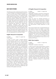# **QUEST Credit Offerings**

The following are the credits that students will earn in Quest through the interdisciplinary projects in each unit and the Senior Project. Students may choose to receive all, some or no Advanced Topic credits offered through Quest, and these wishes should be communicated during enrollment in the Quest program. Students who wish to earn Advanced Topic credits will individually be held to a higher standard of skill acquisition and will be defining their learning objectives and how they personally go beyond the requirements. In addition, Advanced Topic credits have prerequisites, so students should make sure they meet the requirements. All students will submit their Senior Project thesis, talk and defense to the Quest advisors and community partners who are experts in the field of the student's research. The main difference between college preparatory and AT is the expectations for the level of skills.

# English: Research & Composition

*ID: 48525 Grade: 12 Length: Year Credit: English*

In order to receive credit in English Research and Composition students will meet advanced research requirements, and go beyond these requirements by meeting oral communication and written composition requirements aligned to EL21 and Common Core standards. Students will conduct thorough research of a self-generated research question through gathering, evaluating and analyzing scholarly journals, as well as completing a statistical analysis of their own data. Their research will be utilized throughout the year to demonstrate their competency in writing a thesis paper, delivering engaging presentations and an oral defense. Students will deliver multiple presentations that consider how style, content and the advanced use of technology contribute to the power, persuasiveness or beauty of a text (e.g. making documentaries, digital portfolios, websites, crafting arguments that rely on rhetoric to influence an audience) culminating in their Senior Project, Talk and Defense which will be reviewed by an expert in the field of research. Students will also participate in large and small group discussions, communicate effectively with members of the global community.

# AT English: Research & Composition

*ID: 48526 Grade: 12 Length: Year*

*Credit: English*

*Prerequisite: Completion of AP Seminar, AP Research, or AP Language and Composition. An A or higher in Grade 11 English course, or an English teacher recommendation.*

Please see above for detailed description of English: Research and Composition. Students wishing to earn Advanced Topic credit in English: Research and Composition will practice narrative, informative, and argumentative skills at a level that demonstrates in-depth application of said skills.

Note: Quest students who completed AP Seminar and earned a score of 3 or better on the Exam may choose to submit the thesis papers they produce in this course to the College Board for AP Research Exam scoring. These students will be supported within Quest to follow the AP Research guidelines. To earn the AP Capstone Diploma, students must earn scores of 3 or higher on the AP Seminar and AP Research Exams and on four additional AP Exams.

# Math: Data Analytics

*ID: 48527 Grade: 12 Length: Year Credit: Math*

*Prerequisite: Completion of Geometry.*

In order to receive credit in Data Analytics, students are required to demonstrate their learning in interpreting categorical and quantitative data, making inferences and justifying conclusions, conditional probability and rules of probability, and using probability to make decisions. Students do not need to dwell on the details of computation - the main focus is on understanding a few deep concepts and interpreting data and the results of statistical analysis. Students are required to collect, organize, represent, and analyze data through the use of statistical software or programming language.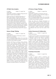# AT Math: Data Analytics

*ID: 48528 Grade: 12 Length: Year*

*Credit: Math*

*Prerequisite: Completion of Algebra 2/Trig with a B or higher, or teacher recommendation*

Please see above for detailed description of Math: Data Analytics. Students who wish to earn Advanced Topic credit will individually be held to a higher standard of skill acquisition and will need to demonstrate a high level of data processing and analyzing skills. Students are required to collect, organize, represent, and analyze their own data through the use of statistical software or programming language. Students will also be defining their learning objectives and how they personally go beyond the requirements.

# Science: Design Thinking

*ID: 48529 Grade: 12 Length: Year Credit: Science*

*Prerequisite: Completion of Chemistry or science teacher recommendation.*

*Note: For potential college athletes, this course does not meet the NCAA Division I core course requirement for Science. See counselor for details.* 

Students will learn to produce strong designs, become more effective problem solvers, and communicate effectively with high emotional and intellectual impact. This project-based course requires that students apply engineering, science, math, and technology to solve complex, openended problems in a real-world context. Students will focus on the process of defining and solving a problem, not on getting the "right" answer. In practice, rigor in process and tools must be balanced with flexibility and adaptability towards the problems they solve, so instruction focuses on teaching multiple tested, iterative design processes as well as techniques and mindsets to sharpen creative analysis. Guest lectures from all disciplines illustrate different approaches to design thinking. This course develops students' skills to conceive, organize, lead, implement, and evaluate successful projects in any discipline.

# AT Science: Design Thinking

*ID: 48530 Grade: 12 Length: Year*

*Credit: Science Prerequisite: Completion of Chemistry with a B or higher, or completion of Physics with a B or higher, or science teacher recommendation*

*Note: For potential college athletes, this course does not meet the NCAA Division I core course requirement for Science. See counselor for details.* 

Please see above for detailed description of Science: Design Thinking. AT-level students will be required to go above and beyond the college preparatory Design Thinking course requirements and demonstrate a higher level of rigor throughout the processes, vetting, production, application and reflection that occur over the course of the year.

# Cultural Awareness & Collaboration

*ID: 48533 Grade: 12 Length: Year Credit: Social Studies*

In order to receive credit in Cultural Awareness and Collaboration, students are required to complete a thematic study of the human experience through the lenses of history and literature, with a focus on skills development. Students will explore critical issues, individuals and turning points in the histories of the world. Students will analyze the extent to which ideologies, people, literature and events developed and shaped both our history and its contemporary issues. Students will be challenged to think critically and to make thoughtful connections as they draw on a variety of resources to understand the human experience.

# Creativity & Innovation

*Credit: Elective*

*ID: 48531 Grade: 12 Length: Year*

In order to receive credit in Creativity and Innovation, students are required to explore individual and organizational factors that stimulate and inhibit creativity in individuals and teams. Students are expected to demonstrate their ability to take risks and develop creative solutions and products for specific purposes. Students will reflect deeply within their portfolio that shows the process of their thinking, self-assessment, reflection, and exemplary creativity, that meets the requirements of the assessment rubric.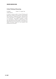# Critical Thinking & Reasoning

*ID: 48532 Grade: 12 Length: Year Credit: Elective*

In order to receive credit in Critical Thinking and Reasoning, students are required to demonstrate their learning in explaining issues, selecting and using information to investigate a point of view or conclusion, thoroughly analyzing context and assumptions, taking a specific position and discussing the limits of position, and creating a logical conclusion based on the evidence and perspectives discussed.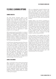# **Flexible Learning Options**

# **Summer Semester**

The SAS Summer Semester opens a new learning option, encouraging students to extend, diversify, and accelerate learning from the academic school year. It will allow students to explore new learning paths not available through existing course offerings. The Summer Semester program focuses on the whole child and presents learning opportunities in four distinct categories: intellectual curiosity, creative expression, sports and wellness, and travel adventures and service. Students will have an opportunity to select programs from all categories.

SAS is partnering with world leaders in a variety of fields to offer leading edge programs not available elsewhere in Singapore. These partners have designed exclusive programs for the SAS Summer Semester student. In addition to an SAS Summer Semester transcript, students participating in this programs will receive a Certificate of Participation from the partnering organization.

An SAS Summer Semester transcript will become a part of the student's official academic record. Courses that are eligible for credit will be listed on the SAS transcript as a P (pass) grade, which is similar to how credits are listed on the SAS transcript for students transferring into SAS from any other high school. Credits earned through the SAS Summer Semester could be used to fulfill SAS graduation requirements but would not be included in the calculation of a student's SAS grade point average (GPA). A Summer Semester transcript, including the actual grades or comments, would be sent to colleges as an additional page of the SAS transcript.

# **School Year Abroad**

SAS, in partnership with the School Year Abroad (SYA) organization, is proud to offer SAS high school students the opportunity to participate in a one-year study abroad opportunity during their junior or senior year. SAS joins a consortium of elite independent schools including, Phillips Academy Andover, Phillips Exeter, St. Paul's School, Taft, and the American School of London in offering this program.

SYA is an independent nonprofit institution that owns and operates campuses in France, Italy, Spain, and China. SYA is the only high school study abroad program that requires students to live with a host family for an entire academic year. Our partnership with SYA allows SAS students to access their four language immersion campuses around the world for a year, while remaining SAS students.

Students apply to join SYA by completing an application on the www.sya.org website. Students must apply by the end of January to participate in the program during the next academic year, with acceptance decisions made shortly thereafter. Prior to applying, students should speak with their counselor to make certain the program will serve their needs and to review their SAS graduation credits. If accepted by SYA, tuition and fees will be paid directly to SYA. Only the SAS annual enrollment fee, which is required of all SAS students, would be required by SAS.

At the conclusion of the academic year an SYA transcript will be sent to SAS and will become a part of the student's official academic record. The credits will be listed on to the SAS transcript as a P (pass) grade, which is similar to how credits are listed on the SAS transcript for students transferring into SAS from any other high school. Credits earned through SYA could be used to fulfill SAS graduation requirements but would not be included in the calculation of an SAS grade point average (GPA). The actual SYA transcript, including the grades earned, would be sent to colleges as a second page of the SAS transcript providing colleges and universities with a full understanding of the SYA program.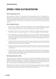# **Appendix I: Course Selection Instructions**

# Before Requesting Courses

After reviewing the information in this guide, use the four-year planning chart in the Appendix or in Family Connection to develop a high school plan of study. Make certain that the minimum graduation requirements are fulfilled, but remember they are just that - minimum requirements. College bound students graduate with significantly more than the minimum credits. Students should enroll a challenging academic program in which they can be successful while also having time to participate in some activities.

# How to Request Courses

- 1. Either parents or students can login to PowerSchool and click the "Class Registration" icon to open the course selection screen. Access to this page is only available during the registration period in early April. Follow the on-screen instructions to select courses for next year.
- 2. All students must enroll in the correct number of "credit hours." Students going into grades 9 or 10 must have seven, and students in grades 11 or 12 must have between six and seven credits.
- 3. Click a subject area to see the available courses. The list of available courses is based upon the courses already completed, the prerequisites that have been met, or the recommendations entered by current teachers. New students who recently joined our school and have no SAS course history may appear to be missing a prerequisite. See a counselor so that prerequisite courses can be manually added.
- 4. PowerSchool disconnects from the server after 15 minutes of no activity. If too long has been spent choosing courses, when clicking submit the login screen will appear instead of a summary. If that happens, login again and re-enter course requests.
- 5. Once the correct number of credits has been entered, click "Submit" and the course requests will be displayed. Until the request period ends, students or parents can go back and review or change course requests.
- 6. For students who do not plan to return to SAS next year, please complete this process anyway. It will help us plan for new students and can help students think about courses to consider whether at SAS or a different school. Teachers and counselors are happy to answer any questions about this request process or any of the SAS courses.

# Reviewing Graduation Credits

After submitting course requests and a summary of courses has been displayed, students can check graduation progress by clicking the "View Graduation Progress" hyperlink. These charts combine the credits that have been completed, are in-progress this semester, and have been requested for next year. The top graph shows progress at meeting minimum SAS graduation requirements, and the bottom one shows progress toward fulfilling typical college preparatory expectations.

While students don't need to be concerned if PowerSchool temporarily assigned credits in a different combination than expected (e.g., Dance could be assigned to either PE or Art), each area should be fulfilled once senior courses are entered. If not, stop by the counseling office.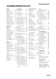*Tech/Computers/Finance* Emerging Tech..................SM Computer Science I..........SM Robotics............................SM Robotics Science ........ SM/YR Graphic Design.................SM 3D Graphics......................SM Digital Game Develop......SM Engineering Science..........YR Structural Engineering......SM AP Computer Science .......YR Personal Finance ..............SM

Video ................................SM Newspaper ........................YR Yearbook............................YR

AP Seminar........................YR AP Research.......................YR Independent Learning......SM SAS Catalyst Project .........SM

TEC

*Journalism*

*Capstone/Catalyst*

Physical Education Fld Hockey/Softball/Golf..SM Fit for the Body/Mind ......SM Group Fitness ...................SM Group Fitness II ................SM Indoor Sports....................SM International Sports ..........SM Climbing/Adventure Tr.....SM Personal Defense..............SM Racquet Sports .................SM Soccer/FlagFtbl/Rugby.....SM Track: Running..................SM Weight Training I ..............SM Weight Training II .............SM Lifeguarding .....................SM Dance I .............................SM Dance II ............................SM Dance III ...........................SM Dance Technique..............SM AT Kinesiology..................SM

# **SAS Course Options In 2016-2017**

#### English

| ------                     |  |
|----------------------------|--|
| English 9YR                |  |
| World Studies 2xYR         |  |
| English 10YR               |  |
| American Studies 2xYR      |  |
| Advanced Composition S1    |  |
| American Lit  S1           |  |
| British Lit S1             |  |
| Lit/Imagination  S1        |  |
| Read, Write, & Publish S1  |  |
| Asian Literature S2        |  |
| Studies in Satire S2       |  |
| World Literature S2        |  |
| 21st Century Classics S2   |  |
| Communications S2          |  |
| AP English: Language  YR   |  |
| AP English: Literature  YR |  |
| AT Writing Seminar YR      |  |

#### Mathematics

| Algebra IA  YR              |  |
|-----------------------------|--|
| Algebra IBYR                |  |
| Algebra 1YR                 |  |
| Geometry YR                 |  |
| Conceptual Algebra II  YR   |  |
| Algebra II/TrigYR           |  |
| Functions/Stats/Trig YR     |  |
| Accelerated Math I YR       |  |
| Accelerated Math II  YR     |  |
| Pre-Calculus*  YR           |  |
| Discrete Math YR            |  |
| AP Statistics  YR           |  |
| AP Calculus AB YR           |  |
| AP Calculus BC YR           |  |
| AP Cal BC/Multivariable  YR |  |

#### Science

| Life/Biological               |
|-------------------------------|
| Biology YR                    |
| Molecular Biology* YR         |
| Biotechnology SM              |
| Environmental Science  SM     |
| Forensic ScienceSM            |
| Marine Biology SM             |
| Anatomy & Physiology  SM      |
| Zoology SM                    |
| AT Tropical Eco/Envro Sci. SM |
| AP BiologyYR                  |
|                               |

#### *Physical*

| Physical Science YR        |  |
|----------------------------|--|
| Chemistry  YR              |  |
| Chemistry, Accelerated* YR |  |
|                            |  |
| AP Chemistry YR            |  |
| AP Physics 1 YR            |  |
| AP Physics 2 YR            |  |
| AP Physics C YR            |  |
|                            |  |

#### Social Studies

| ζ                       | World Studies 2xYR          |
|-------------------------|-----------------------------|
| ς                       | World HistoryYR             |
| ς                       |                             |
| ξ                       | <b>US History</b>           |
|                         | American Studies 2xYR       |
|                         | US History & Govt  YR       |
|                         | AP US History YR            |
|                         |                             |
|                         | History, Culture, Geography |
| 2                       | History of ChinaSM          |
| $\overline{\mathbf{r}}$ | History of Malaysia/Sing SM |
|                         |                             |

| $\frac{1}{2}$ instead of the interest of $\frac{1}{2}$ in $\frac{1}{2}$ in $\frac{1}{2}$ is set of $\frac{1}{2}$ |  |
|------------------------------------------------------------------------------------------------------------------|--|
| Modern Asian Persp  SM                                                                                           |  |
| Urban Planning in SingSM                                                                                         |  |
| AP World History  YR                                                                                             |  |
| AP Human Geography  YR                                                                                           |  |
| AP US Gov/Politics  S1                                                                                           |  |
| AP Comparative Gov S2                                                                                            |  |

#### *Business/Economics*

| Economics  SM              |  |
|----------------------------|--|
| Behavioral Econ/GameSM     |  |
| EntrepreneurshipSM         |  |
| AP EconomicsYR             |  |
| Adv Econ: Globalization SM |  |

#### *Social Studies Electives*

| AP PsychologyYR |  |
|-----------------|--|

#### World Languages

| French: Novice YR            |
|------------------------------|
| French: Intermediate  YR     |
| French: Intermediate II  YR  |
| French: Intermediate III  YR |
| French: Intermed High  YR    |
| French: Intermed High II  YR |
| French: Intermed High III YR |
| French: Advanced YR          |
| AP French  YR                |
|                              |
| Spanish: Novice YR           |
| Spanish: Intermediate  YR    |
| Spanish: Intermediate II YR  |

| Spanish: Intermediate III YR<br>Spanish: Intermed High YR<br>Spanish: Intermed High II YR<br>Spanish: Intermed High III. YR<br>Spanish: Advanced YR<br>AP SpanishYR                                                                                                                                                                        |
|--------------------------------------------------------------------------------------------------------------------------------------------------------------------------------------------------------------------------------------------------------------------------------------------------------------------------------------------|
| Chinese: Novice  YR<br>Chinese: Intermediate YR<br>Chinese: Intermediate II YR<br>Chinese: Intermediate III  YR<br>Chinese: Intermed High  YR<br>Chinese: Intermed High II . YR<br>Chinese: Intermed High III YR<br>Chinese Near Native  YR<br>AP Chinese Near Native II. YR<br>AP Chinese Lang/Culture YR<br>AT Chinese Lang: History  YR |

Japanese IV .......................YR

#### Visual/Performing Arts

| Art/Ceramics             |  |
|--------------------------|--|
| Art FoundationsSM        |  |
| Ceramics 1SM             |  |
| Ceramics IISM            |  |
| PrintmakingSM            |  |
| Studio Art YR            |  |
| AP Art: Drawing YR       |  |
| AP Art: 2D Design  YR    |  |
| AP Art: 3D Design YR     |  |
| Theater                  |  |
| Stagecraft SM            |  |
| FoundationsSM            |  |
| ImprovisationSM          |  |
| Adv Improvisation SM     |  |
| Theater ProductionSM     |  |
| Film/Acting Ensemble  SM |  |

#### *Photography/Film*

| FilmmakingSM               |  |
|----------------------------|--|
| Adv FilmmakingSM           |  |
| Digital Photography  SM    |  |
| Adv Digital Photography SM |  |
| Film/Acting Ensemble  SM   |  |

#### *Instrumental Music*

| Concert Band YR<br>Symphonic Band YR<br>Wind Ensemble  YR<br>Jazz Improvisation  S1   |
|---------------------------------------------------------------------------------------|
| Strings<br>Concert Strings YR<br>String Ensemble  YR<br>Chamber Strings YR            |
| Vocal Music<br>Concert Choir  SM/YR<br>Choral Ensemble  YR<br>SAS Singers YR          |
| Music Exploratory Wheel<br>GuitarSM<br>Advanced Guitar SM<br>Music Perf/Recording  S2 |

### *Dance*

| Dance |                      |  |
|-------|----------------------|--|
|       |                      |  |
|       |                      |  |
|       |                      |  |
|       | Dance Technique S2   |  |
|       | Dance Performance YR |  |
|       |                      |  |

#### *Advanced Option* AT Performing Arts ............YR

Learning Support Learning Support...............YR RLA Lab ............................YR

Quest

Health/Wellness

Body Systems ...................SM Safety/First Aid.................SM Nutrition/Fitness...............SM Life Skills ...........................SM

*Students in Quest have their own academic program.* 

*Permission/assessment is required for these courses.*

#### Flexible Learning Options

Summer Semester@SAS...SM Global Online Academy ...SM School Year Abroad...........YR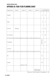# **Singapore American School**

# **Appendix III: Four-Year Planning Chart**

| Department  | Grade 9 | Grade 10                                                                                          | Grade 11 | Grade 12                            | To<br>GraduateRecom'dEarned | College Total  |  |
|-------------|---------|---------------------------------------------------------------------------------------------------|----------|-------------------------------------|-----------------------------|----------------|--|
| English     |         |                                                                                                   |          |                                     | $\overline{4}$              | $\overline{4}$ |  |
| Math        |         |                                                                                                   |          |                                     | $\overline{2}$              | $\overline{4}$ |  |
| Science     | Biology |                                                                                                   |          |                                     | $\overline{2}$              | $3-4$          |  |
| Soc Studies |         | US citizens and Univ of California applicants are required to complete a $\psi$ S History course. |          |                                     | $\overline{2}$              | $3 - 4$        |  |
| Language    |         |                                                                                                   |          |                                     | Intermediate                | $3 - 4$        |  |
| V/P Arts    |         | University of California requires one credit or two serhesters in the same type of V/P art.       |          |                                     | 1                           | 1              |  |
| PE          |         |                                                                                                   |          |                                     | 1.5                         |                |  |
| Health      |         | Required in 10th                                                                                  |          |                                     | $0.5\,$                     |                |  |
|             |         |                                                                                                   |          | Catalyst Project<br>(Class of 2018) |                             |                |  |

Minimum Total Credits for Graduation = 24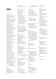# **Index**

# **A**

Academic Load 7 Accelerated Chem 30 Accelerated Math 24 ACT 8 Acting Courses 44–46 Advanced Placement 7 Adv Composition 12 Adv Economics 20 Advisory 3, 4 Adv Topic Courses 1 Algebra I 23, 24 Algebra IB 23 Algebra II/Trig 24 American Literature 12 American Studies 11 AP Biology 29 AP Calculus 25 AP Calculus BC 25 AP Chemistry 30 AP Chinese 35 AP Comparative Gov 19 AP Computer Science 39 AP Economics 21 AP English 14 AP European History 18 AP French 34 AP Human Geo 18 AP-Near Native II 35 AP Physics 31 AP Physics 2 31 AP Physics C 31 AP Psychology 21 AP Research 60 AP Seminar 40 AP Spanish 34 AP Statistics 25 AP Studio 44 AP U.S. Gov/Politics 19 AP U.S. History 16 AP World History 18 Art Courses 43–44 Asian Literature 13 Asian Perspectives 18 AT Chinese Lang: Hist 35 AT English 60 AT Eng: Writing Sem 15 AT Kinesiology 55 AT Performing Arts 50 AT Science: Design Thinking 61 AT Tr. Eco/AP E Sci 29

#### **B**

Band 46 Biology 27 Biotechnology 27 Body Systems 56 British Literature 12 Business 20 Business of Sports 41

#### **C**

Catalyst Project 42 Ceramics 43 Chamber Strings 47 Chanterie 47 Chemistry 29 Chinese 32 Choral Ensemble 47 Co-curriculars 8 College Preparation 6 College Testing 8 Communications 14 Computer Science I 37 Conceptual Algebra II 24 Creativity/Innov 61 Cultural Awareness 61

#### **D**

Daily Schedule 3 Dance Courses 49–51 Dance Technique 50 December Graduation 5 Digital Photography 45 Discrete Math 25

# **E**

Earth Science 30 Economics 19 Emerging Tech 37 Engineering Science 39 English 10–15 English 9 11 English 10 11 English: Research 60 Entrepreneurship 20 Environmental Sci 28

#### **F**

Family Connection 9 Field Hockey 52 Film/Acting Ensemble 45 Filmmaking 45 Fitness 52 Flag Football 54 Forensic Science 28 French 32 Functions, Statistics, and Trigonometry 24

#### **G**

Game Development 38 Geometry 24 Golf 52 GPA 7 Grad Requirements 3 Graphic Design 38 Group Fitness 52 Guitar 48

# **H**

Health 56 History of China 17 History of India 17 History of Japan 17 History of Malaysia and

Singapore 17 History & Production 45

#### Imagination 13 Improv 44 Ind Learning 41 Indoor Sports 53 Instrumental Music 46 Interim Semester 57 International Sports 53

### **J**

**I**

г

Japanese 32, 35 Jazz Improvisation 46 Journalism 40–42

#### **L**

Learning Support 57, 63 Lifeguarding 54 Life Sciences 27 Life Skills Training 56 Lit and the Imagination 13

# **M**

Marine Biology 28 Math: Data Analytics 60 Modern Asian Per 18 Molecular Biology 27 Musical Theater 45, 49 Music Exploration 49 Music of Our Time 49 Music Performance & Recording 48 Mythology 14

# **N**

New Courses 2 Newspaper 40 Nutrition 56

Online Learning 41

# **P**

**O**

Personal Defense 53 Personal Finance 37 Photography 45–46 Physical Education 52–55 Physical Sciences 29 Physics 30 Physiology 28 Pre-Calculus 25 Printmaking 43 Prize Winning Lit 14 Psychology 21

# **Q**

Quest 58

# **R**

Racquet Sports 54 Reading, Writing and Publishing 13 Research & Compo 60 RLA Lab 57 Robotics 37, 39

Rock-n-Roll 49 Rugby 54

# **S**

Safety/First Aid 56 SAS Singers 48 SAT 8 Satire 13 Schedule Change 6 Sci: Design Think 61 Soccer 54 Social Studies 16–21 Softball 52 Spanish 32 Stagecraft 44 Strings Courses 46 Struct. Engineering 39 Studies in Satire 13 Studio Art 43 Supervised Study 6 Symphonic Band 46

# **T**

TEC 37–42 Theater Courses 44–45 Theater: Improv 44 Three-D Graphics 38 Track and Field 54 Twenty-First Century World Classics 14

#### **U**

Urban Planning 18 U.S. History 16

#### **V**

Video Journalism 39 Visual Arts 43 Vocal Music 47 Vocal Technique 49

#### **W**

War & Peace 18 Weight Training 54 Wellness 56 Wind Ensemble 46 World History 16 World Literature 14 World Studies 10, 16

# **Y**

Yearbook 40

#### **Z**

Zoology 28